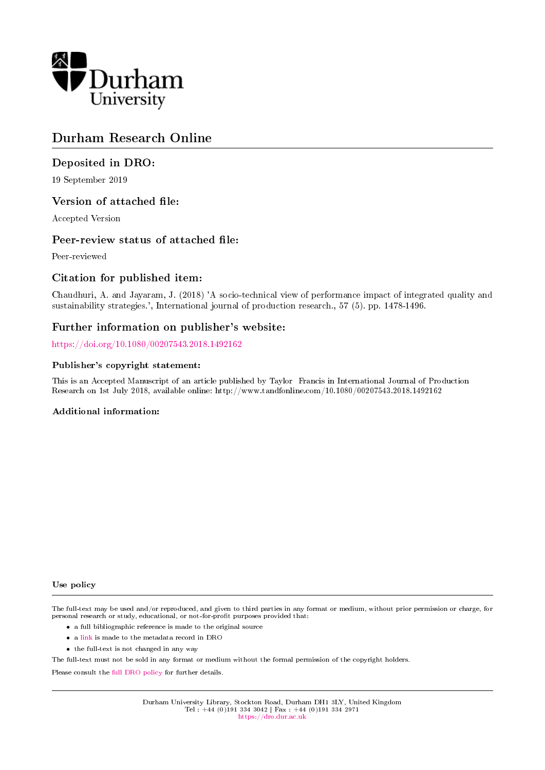

# Durham Research Online

# Deposited in DRO:

19 September 2019

# Version of attached file:

Accepted Version

# Peer-review status of attached file:

Peer-reviewed

# Citation for published item:

Chaudhuri, A. and Jayaram, J. (2018) 'A socio-technical view of performance impact of integrated quality and sustainability strategies.', International journal of production research., 57 (5). pp. 1478-1496.

# Further information on publisher's website:

<https://doi.org/10.1080/00207543.2018.1492162>

#### Publisher's copyright statement:

This is an Accepted Manuscript of an article published by Taylor Francis in International Journal of Production Research on 1st July 2018, available online: http://www.tandfonline.com/10.1080/00207543.2018.1492162

#### Additional information:

Use policy

The full-text may be used and/or reproduced, and given to third parties in any format or medium, without prior permission or charge, for personal research or study, educational, or not-for-profit purposes provided that:

- a full bibliographic reference is made to the original source
- a [link](http://dro.dur.ac.uk/29122/) is made to the metadata record in DRO
- the full-text is not changed in any way

The full-text must not be sold in any format or medium without the formal permission of the copyright holders.

Please consult the [full DRO policy](https://dro.dur.ac.uk/policies/usepolicy.pdf) for further details.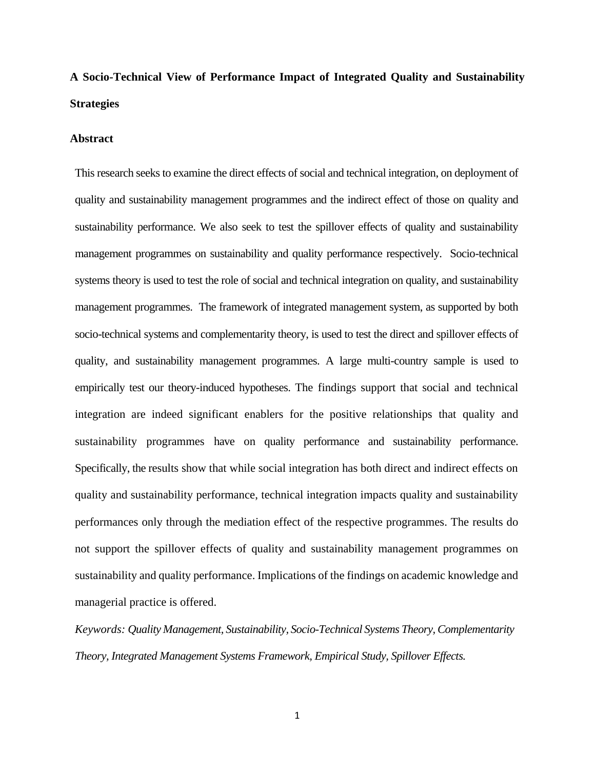# **A Socio-Technical View of Performance Impact of Integrated Quality and Sustainability Strategies**

#### **Abstract**

This research seeks to examine the direct effects of social and technical integration, on deployment of quality and sustainability management programmes and the indirect effect of those on quality and sustainability performance. We also seek to test the spillover effects of quality and sustainability management programmes on sustainability and quality performance respectively. Socio-technical systems theory is used to test the role of social and technical integration on quality, and sustainability management programmes. The framework of integrated management system, as supported by both socio-technical systems and complementarity theory, is used to test the direct and spillover effects of quality, and sustainability management programmes. A large multi-country sample is used to empirically test our theory-induced hypotheses. The findings support that social and technical integration are indeed significant enablers for the positive relationships that quality and sustainability programmes have on quality performance and sustainability performance. Specifically, the results show that while social integration has both direct and indirect effects on quality and sustainability performance, technical integration impacts quality and sustainability performances only through the mediation effect of the respective programmes. The results do not support the spillover effects of quality and sustainability management programmes on sustainability and quality performance. Implications of the findings on academic knowledge and managerial practice is offered.

*Keywords: Quality Management, Sustainability, Socio-Technical Systems Theory, Complementarity Theory, Integrated Management Systems Framework, Empirical Study, Spillover Effects.*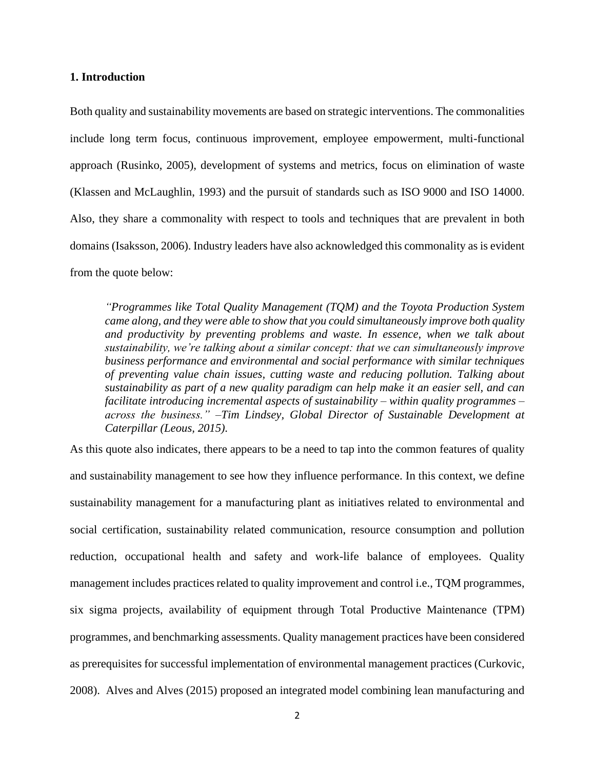#### **1. Introduction**

Both quality and sustainability movements are based on strategic interventions. The commonalities include long term focus, continuous improvement, employee empowerment, multi-functional approach (Rusinko, 2005), development of systems and metrics, focus on elimination of waste (Klassen and McLaughlin, 1993) and the pursuit of standards such as ISO 9000 and ISO 14000. Also, they share a commonality with respect to tools and techniques that are prevalent in both domains (Isaksson, 2006). Industry leaders have also acknowledged this commonality as is evident from the quote below:

*"Programmes like [Total Quality Management](http://asq.org/learn-about-quality/total-quality-management/overview/overview.html) (TQM) and the [Toyota Production System](http://en.wikipedia.org/wiki/Toyota_Production_System) came along, and they were able to show that you could simultaneously improve both quality and productivity by preventing problems and waste. In essence, when we talk about sustainability, we're talking about a similar concept: that we can simultaneously improve business performance and environmental and social performance with similar techniques of preventing value chain issues, cutting waste and reducing pollution. Talking about sustainability as part of a new quality paradigm can help make it an easier sell, and can facilitate introducing incremental aspects of sustainability – within quality programmes – across the business." –Tim Lindsey, Global Director of Sustainable Development at Caterpillar (Leous, 2015).* 

As this quote also indicates, there appears to be a need to tap into the common features of quality and sustainability management to see how they influence performance. In this context, we define sustainability management for a manufacturing plant as initiatives related to environmental and social certification, sustainability related communication, resource consumption and pollution reduction, occupational health and safety and work-life balance of employees. Quality management includes practices related to quality improvement and control i.e., TQM programmes, six sigma projects, availability of equipment through Total Productive Maintenance (TPM) programmes, and benchmarking assessments. Quality management practices have been considered as prerequisites for successful implementation of environmental management practices (Curkovic, 2008). Alves and Alves (2015) proposed an integrated model combining lean manufacturing and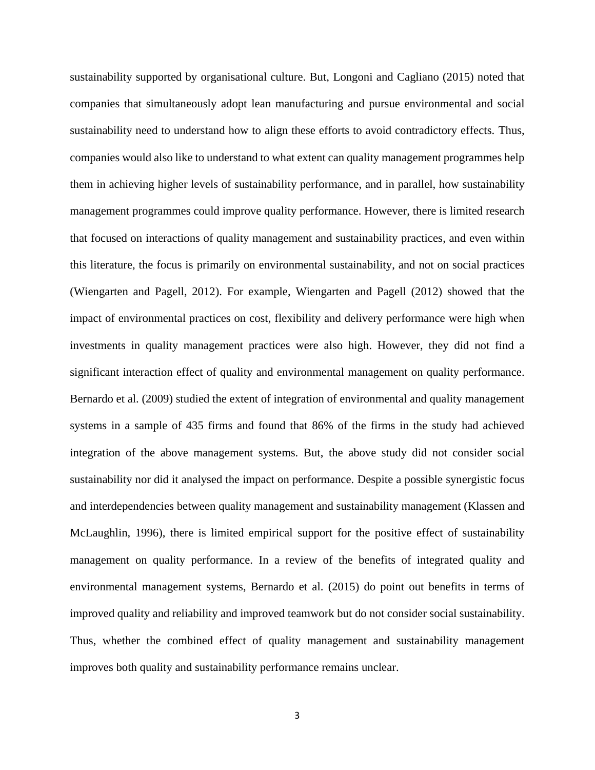sustainability supported by organisational culture. But, Longoni and Cagliano (2015) noted that companies that simultaneously adopt lean manufacturing and pursue environmental and social sustainability need to understand how to align these efforts to avoid contradictory effects. Thus, companies would also like to understand to what extent can quality management programmes help them in achieving higher levels of sustainability performance, and in parallel, how sustainability management programmes could improve quality performance. However, there is limited research that focused on interactions of quality management and sustainability practices, and even within this literature, the focus is primarily on environmental sustainability, and not on social practices (Wiengarten and Pagell, 2012). For example, Wiengarten and Pagell (2012) showed that the impact of environmental practices on cost, flexibility and delivery performance were high when investments in quality management practices were also high. However, they did not find a significant interaction effect of quality and environmental management on quality performance. Bernardo et al. (2009) studied the extent of integration of environmental and quality management systems in a sample of 435 firms and found that 86% of the firms in the study had achieved integration of the above management systems. But, the above study did not consider social sustainability nor did it analysed the impact on performance. Despite a possible synergistic focus and interdependencies between quality management and sustainability management (Klassen and McLaughlin, 1996), there is limited empirical support for the positive effect of sustainability management on quality performance. In a review of the benefits of integrated quality and environmental management systems, Bernardo et al. (2015) do point out benefits in terms of improved quality and reliability and improved teamwork but do not consider social sustainability. Thus, whether the combined effect of quality management and sustainability management improves both quality and sustainability performance remains unclear.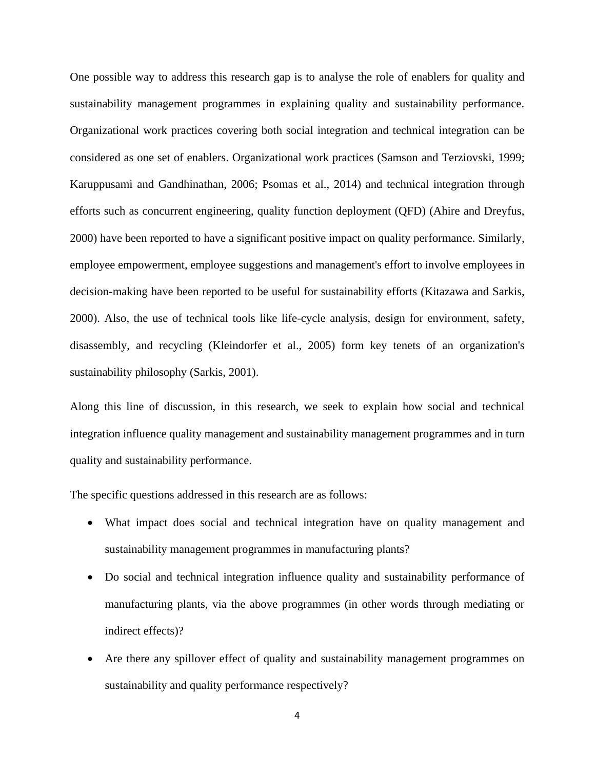One possible way to address this research gap is to analyse the role of enablers for quality and sustainability management programmes in explaining quality and sustainability performance. Organizational work practices covering both social integration and technical integration can be considered as one set of enablers. Organizational work practices (Samson and Terziovski, 1999; Karuppusami and Gandhinathan, 2006; Psomas et al., 2014) and technical integration through efforts such as concurrent engineering, quality function deployment (QFD) (Ahire and Dreyfus, 2000) have been reported to have a significant positive impact on quality performance. Similarly, employee empowerment, employee suggestions and management's effort to involve employees in decision-making have been reported to be useful for sustainability efforts (Kitazawa and Sarkis, 2000). Also, the use of technical tools like life-cycle analysis, design for environment, safety, disassembly, and recycling (Kleindorfer et al., 2005) form key tenets of an organization's sustainability philosophy (Sarkis, 2001).

Along this line of discussion, in this research, we seek to explain how social and technical integration influence quality management and sustainability management programmes and in turn quality and sustainability performance.

The specific questions addressed in this research are as follows:

- What impact does social and technical integration have on quality management and sustainability management programmes in manufacturing plants?
- Do social and technical integration influence quality and sustainability performance of manufacturing plants, via the above programmes (in other words through mediating or indirect effects)?
- Are there any spillover effect of quality and sustainability management programmes on sustainability and quality performance respectively?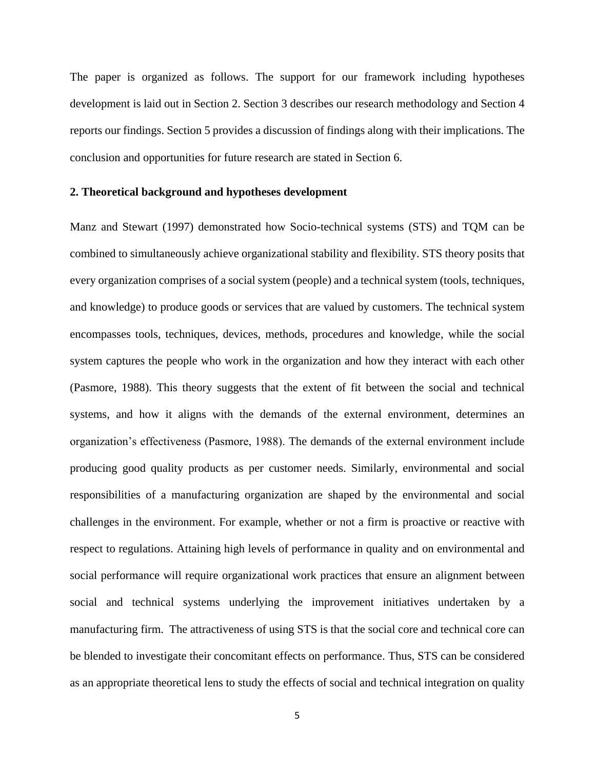The paper is organized as follows. The support for our framework including hypotheses development is laid out in Section 2. Section 3 describes our research methodology and Section 4 reports our findings. Section 5 provides a discussion of findings along with their implications. The conclusion and opportunities for future research are stated in Section 6.

### **2. Theoretical background and hypotheses development**

Manz and Stewart (1997) demonstrated how Socio-technical systems (STS) and TQM can be combined to simultaneously achieve organizational stability and flexibility. STS theory posits that every organization comprises of a social system (people) and a technical system (tools, techniques, and knowledge) to produce goods or services that are valued by customers. The technical system encompasses tools, techniques, devices, methods, procedures and knowledge, while the social system captures the people who work in the organization and how they interact with each other (Pasmore, 1988). This theory suggests that the extent of fit between the social and technical systems, and how it aligns with the demands of the external environment, determines an organization's effectiveness (Pasmore, 1988). The demands of the external environment include producing good quality products as per customer needs. Similarly, environmental and social responsibilities of a manufacturing organization are shaped by the environmental and social challenges in the environment. For example, whether or not a firm is proactive or reactive with respect to regulations. Attaining high levels of performance in quality and on environmental and social performance will require organizational work practices that ensure an alignment between social and technical systems underlying the improvement initiatives undertaken by a manufacturing firm. The attractiveness of using STS is that the social core and technical core can be blended to investigate their concomitant effects on performance. Thus, STS can be considered as an appropriate theoretical lens to study the effects of social and technical integration on quality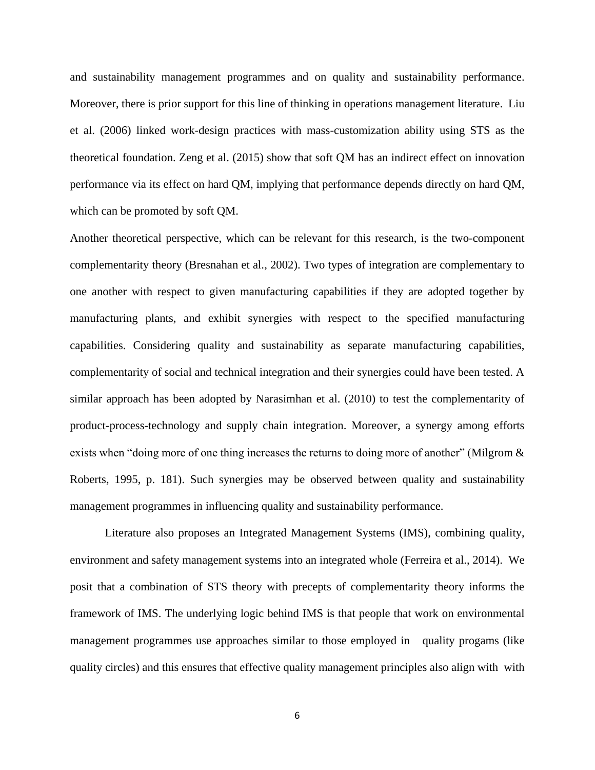and sustainability management programmes and on quality and sustainability performance. Moreover, there is prior support for this line of thinking in operations management literature. Liu et al. (2006) linked work-design practices with mass-customization ability using STS as the theoretical foundation. Zeng et al. (2015) show that soft QM has an indirect effect on innovation performance via its effect on hard QM, implying that performance depends directly on hard QM, which can be promoted by soft QM.

Another theoretical perspective, which can be relevant for this research, is the two-component complementarity theory (Bresnahan et al., 2002). Two types of integration are complementary to one another with respect to given manufacturing capabilities if they are adopted together by manufacturing plants, and exhibit synergies with respect to the specified manufacturing capabilities. Considering quality and sustainability as separate manufacturing capabilities, complementarity of social and technical integration and their synergies could have been tested. A similar approach has been adopted by Narasimhan et al. (2010) to test the complementarity of product-process-technology and supply chain integration. Moreover, a synergy among efforts exists when "doing more of one thing increases the returns to doing more of another" (Milgrom & Roberts, 1995, p. 181). Such synergies may be observed between quality and sustainability management programmes in influencing quality and sustainability performance.

Literature also proposes an Integrated Management Systems (IMS), combining quality, environment and safety management systems into an integrated whole (Ferreira et al., 2014). We posit that a combination of STS theory with precepts of complementarity theory informs the framework of IMS. The underlying logic behind IMS is that people that work on environmental management programmes use approaches similar to those employed in quality progams (like quality circles) and this ensures that effective quality management principles also align with with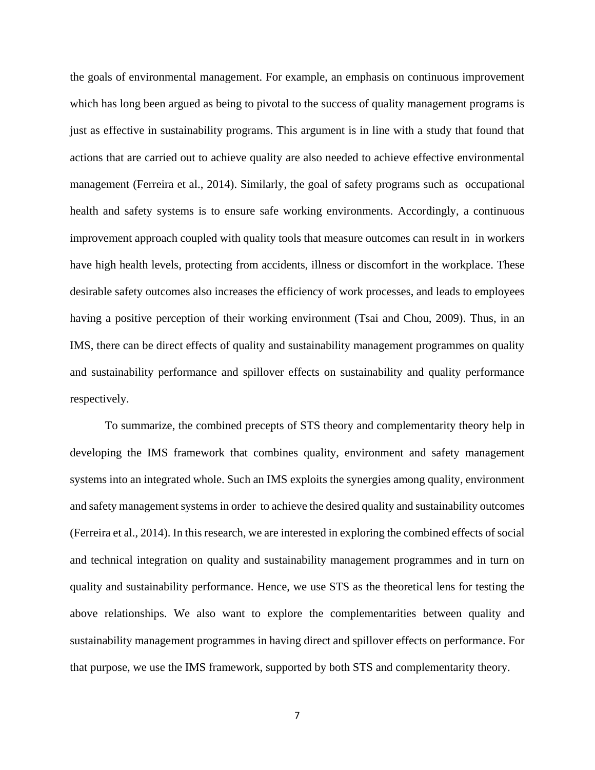the goals of environmental management. For example, an emphasis on continuous improvement which has long been argued as being to pivotal to the success of quality management programs is just as effective in sustainability programs. This argument is in line with a study that found that actions that are carried out to achieve quality are also needed to achieve effective environmental management (Ferreira et al., 2014). Similarly, the goal of safety programs such as occupational health and safety systems is to ensure safe working environments. Accordingly, a continuous improvement approach coupled with quality tools that measure outcomes can result in in workers have high health levels, protecting from accidents, illness or discomfort in the workplace. These desirable safety outcomes also increases the efficiency of work processes, and leads to employees having a positive perception of their working environment (Tsai and Chou, 2009). Thus, in an IMS, there can be direct effects of quality and sustainability management programmes on quality and sustainability performance and spillover effects on sustainability and quality performance respectively.

To summarize, the combined precepts of STS theory and complementarity theory help in developing the IMS framework that combines quality, environment and safety management systems into an integrated whole. Such an IMS exploits the synergies among quality, environment and safety management systems in order to achieve the desired quality and sustainability outcomes (Ferreira et al., 2014). In this research, we are interested in exploring the combined effects of social and technical integration on quality and sustainability management programmes and in turn on quality and sustainability performance. Hence, we use STS as the theoretical lens for testing the above relationships. We also want to explore the complementarities between quality and sustainability management programmes in having direct and spillover effects on performance. For that purpose, we use the IMS framework, supported by both STS and complementarity theory.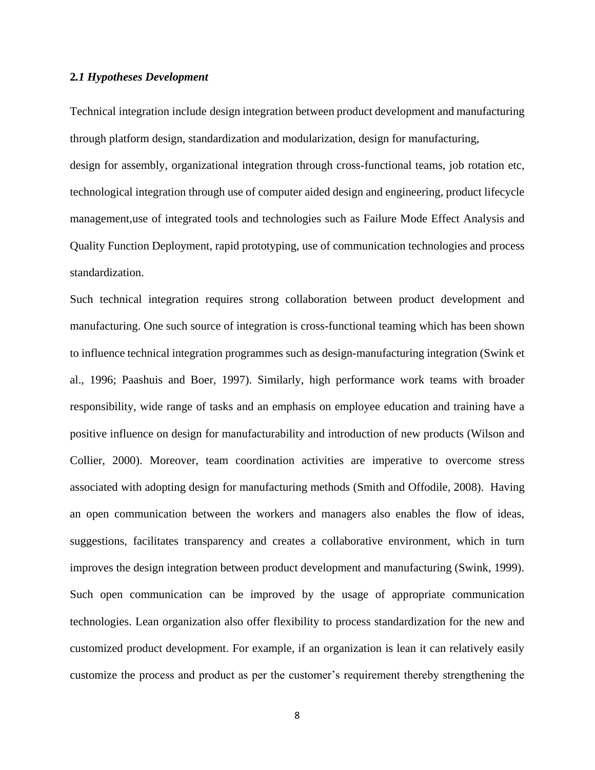### **2***.1 Hypotheses Development*

Technical integration include design integration between product development and manufacturing through platform design, standardization and modularization, design for manufacturing, design for assembly, organizational integration through cross-functional teams, job rotation etc, technological integration through use of computer aided design and engineering, product lifecycle management,use of integrated tools and technologies such as Failure Mode Effect Analysis and Quality Function Deployment, rapid prototyping, use of communication technologies and process standardization.

Such technical integration requires strong collaboration between product development and manufacturing. One such source of integration is cross-functional teaming which has been shown to influence technical integration programmes such as design-manufacturing integration (Swink et al., 1996; Paashuis and Boer, 1997). Similarly, high performance work teams with broader responsibility, wide range of tasks and an emphasis on employee education and training have a positive influence on design for manufacturability and introduction of new products (Wilson and Collier, 2000). Moreover, team coordination activities are imperative to overcome stress associated with adopting design for manufacturing methods (Smith and Offodile, 2008). Having an open communication between the workers and managers also enables the flow of ideas, suggestions, facilitates transparency and creates a collaborative environment, which in turn improves the design integration between product development and manufacturing (Swink, 1999). Such open communication can be improved by the usage of appropriate communication technologies. Lean organization also offer flexibility to process standardization for the new and customized product development. For example, if an organization is lean it can relatively easily customize the process and product as per the customer's requirement thereby strengthening the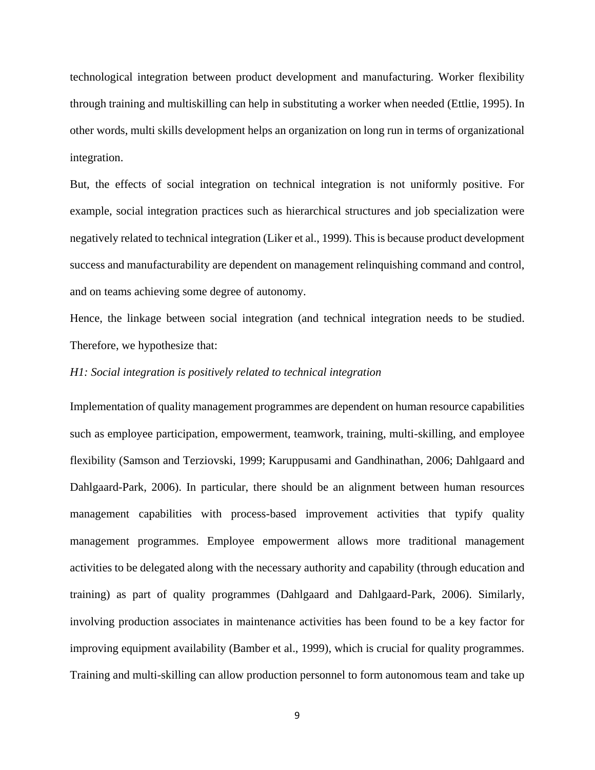technological integration between product development and manufacturing. Worker flexibility through training and multiskilling can help in substituting a worker when needed (Ettlie, 1995). In other words, multi skills development helps an organization on long run in terms of organizational integration.

But, the effects of social integration on technical integration is not uniformly positive. For example, social integration practices such as hierarchical structures and job specialization were negatively related to technical integration (Liker et al., 1999). This is because product development success and manufacturability are dependent on management relinquishing command and control, and on teams achieving some degree of autonomy.

Hence, the linkage between social integration (and technical integration needs to be studied. Therefore, we hypothesize that:

#### *H1: Social integration is positively related to technical integration*

Implementation of quality management programmes are dependent on human resource capabilities such as employee participation, empowerment, teamwork, training, multi-skilling, and employee flexibility (Samson and Terziovski, 1999; Karuppusami and Gandhinathan, 2006; Dahlgaard and Dahlgaard-Park, 2006). In particular, there should be an alignment between human resources management capabilities with process-based improvement activities that typify quality management programmes. Employee empowerment allows more traditional management activities to be delegated along with the necessary authority and capability (through education and training) as part of quality programmes (Dahlgaard and Dahlgaard-Park, 2006). Similarly, involving production associates in maintenance activities has been found to be a key factor for improving equipment availability (Bamber et al., 1999), which is crucial for quality programmes. Training and multi-skilling can allow production personnel to form autonomous team and take up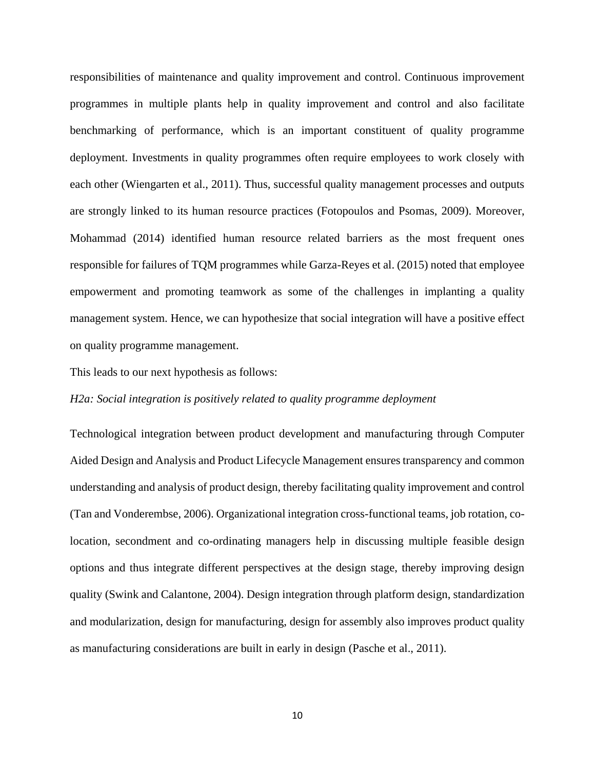responsibilities of maintenance and quality improvement and control. Continuous improvement programmes in multiple plants help in quality improvement and control and also facilitate benchmarking of performance, which is an important constituent of quality programme deployment. Investments in quality programmes often require employees to work closely with each other (Wiengarten et al., 2011). Thus, successful quality management processes and outputs are strongly linked to its human resource practices (Fotopoulos and Psomas, 2009). Moreover, Mohammad (2014) identified human resource related barriers as the most frequent ones responsible for failures of TQM programmes while Garza-Reyes et al. (2015) noted that employee empowerment and promoting teamwork as some of the challenges in implanting a quality management system. Hence, we can hypothesize that social integration will have a positive effect on quality programme management.

This leads to our next hypothesis as follows:

# *H2a: Social integration is positively related to quality programme deployment*

Technological integration between product development and manufacturing through Computer Aided Design and Analysis and Product Lifecycle Management ensures transparency and common understanding and analysis of product design, thereby facilitating quality improvement and control (Tan and Vonderembse, 2006). Organizational integration cross-functional teams, job rotation, colocation, secondment and co-ordinating managers help in discussing multiple feasible design options and thus integrate different perspectives at the design stage, thereby improving design quality (Swink and Calantone, 2004). Design integration through platform design, standardization and modularization, design for manufacturing, design for assembly also improves product quality as manufacturing considerations are built in early in design (Pasche et al., 2011).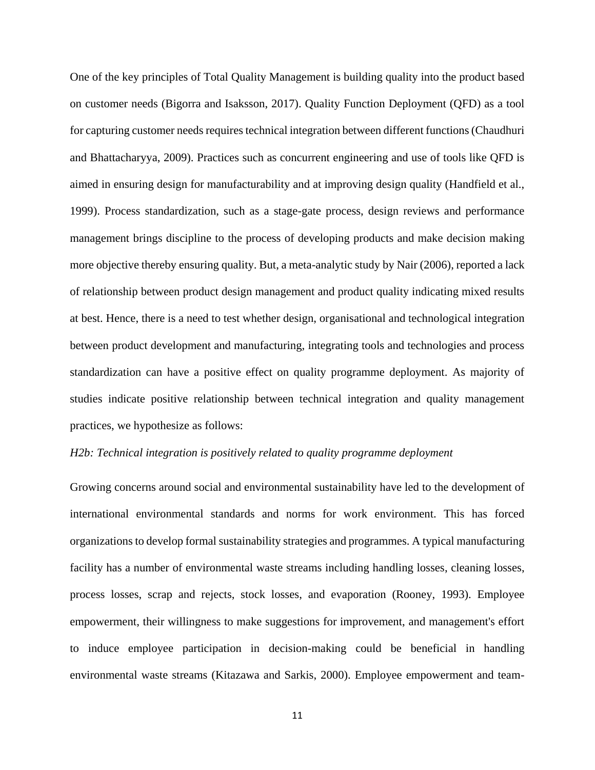One of the key principles of Total Quality Management is building quality into the product based on customer needs (Bigorra and Isaksson, 2017). Quality Function Deployment (QFD) as a tool for capturing customer needs requires technical integration between different functions (Chaudhuri and Bhattacharyya, 2009). Practices such as concurrent engineering and use of tools like QFD is aimed in ensuring design for manufacturability and at improving design quality (Handfield et al., 1999). Process standardization, such as a stage-gate process, design reviews and performance management brings discipline to the process of developing products and make decision making more objective thereby ensuring quality. But, a meta-analytic study by Nair (2006), reported a lack of relationship between product design management and product quality indicating mixed results at best. Hence, there is a need to test whether design, organisational and technological integration between product development and manufacturing, integrating tools and technologies and process standardization can have a positive effect on quality programme deployment. As majority of studies indicate positive relationship between technical integration and quality management practices, we hypothesize as follows:

# *H2b: Technical integration is positively related to quality programme deployment*

Growing concerns around social and environmental sustainability have led to the development of international environmental standards and norms for work environment. This has forced organizations to develop formal sustainability strategies and programmes. A typical manufacturing facility has a number of environmental waste streams including handling losses, cleaning losses, process losses, scrap and rejects, stock losses, and evaporation (Rooney, 1993). Employee empowerment, their willingness to make suggestions for improvement, and management's effort to induce employee participation in decision-making could be beneficial in handling environmental waste streams (Kitazawa and Sarkis, 2000). Employee empowerment and team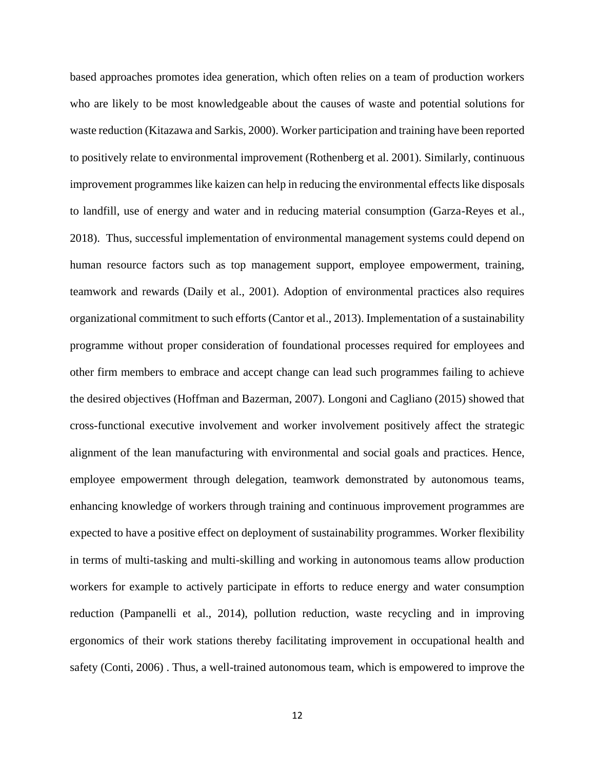based approaches promotes idea generation, which often relies on a team of production workers who are likely to be most knowledgeable about the causes of waste and potential solutions for waste reduction (Kitazawa and Sarkis, 2000). Worker participation and training have been reported to positively relate to environmental improvement (Rothenberg et al. 2001). Similarly, continuous improvement programmes like kaizen can help in reducing the environmental effects like disposals to landfill, use of energy and water and in reducing material consumption (Garza-Reyes et al., 2018). Thus, successful implementation of environmental management systems could depend on human resource factors such as top management support, employee empowerment, training, teamwork and rewards (Daily et al., 2001). Adoption of environmental practices also requires organizational commitment to such efforts (Cantor et al., 2013). Implementation of a sustainability programme without proper consideration of foundational processes required for employees and other firm members to embrace and accept change can lead such programmes failing to achieve the desired objectives (Hoffman and Bazerman, 2007). Longoni and Cagliano (2015) showed that cross-functional executive involvement and worker involvement positively affect the strategic alignment of the lean manufacturing with environmental and social goals and practices. Hence, employee empowerment through delegation, teamwork demonstrated by autonomous teams, enhancing knowledge of workers through training and continuous improvement programmes are expected to have a positive effect on deployment of sustainability programmes. Worker flexibility in terms of multi-tasking and multi-skilling and working in autonomous teams allow production workers for example to actively participate in efforts to reduce energy and water consumption reduction (Pampanelli et al., 2014), pollution reduction, waste recycling and in improving ergonomics of their work stations thereby facilitating improvement in occupational health and safety (Conti, 2006) . Thus, a well-trained autonomous team, which is empowered to improve the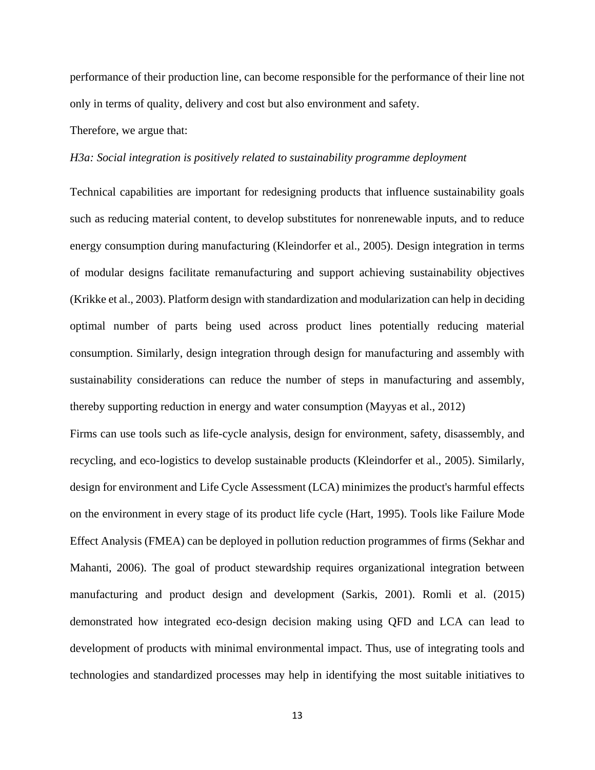performance of their production line, can become responsible for the performance of their line not only in terms of quality, delivery and cost but also environment and safety.

Therefore, we argue that:

#### *H3a: Social integration is positively related to sustainability programme deployment*

Technical capabilities are important for redesigning products that influence sustainability goals such as reducing material content, to develop substitutes for nonrenewable inputs, and to reduce energy consumption during manufacturing (Kleindorfer et al., 2005). Design integration in terms of modular designs facilitate remanufacturing and support achieving sustainability objectives (Krikke et al., 2003). Platform design with standardization and modularization can help in deciding optimal number of parts being used across product lines potentially reducing material consumption. Similarly, design integration through design for manufacturing and assembly with sustainability considerations can reduce the number of steps in manufacturing and assembly, thereby supporting reduction in energy and water consumption (Mayyas et al., 2012)

Firms can use tools such as life-cycle analysis, design for environment, safety, disassembly, and recycling, and eco-logistics to develop sustainable products (Kleindorfer et al., 2005). Similarly, design for environment and Life Cycle Assessment (LCA) minimizes the product's harmful effects on the environment in every stage of its product life cycle (Hart, 1995). Tools like Failure Mode Effect Analysis (FMEA) can be deployed in pollution reduction programmes of firms (Sekhar and Mahanti, 2006). The goal of product stewardship requires organizational integration between manufacturing and product design and development (Sarkis, 2001). Romli et al. (2015) demonstrated how integrated eco-design decision making using QFD and LCA can lead to development of products with minimal environmental impact. Thus, use of integrating tools and technologies and standardized processes may help in identifying the most suitable initiatives to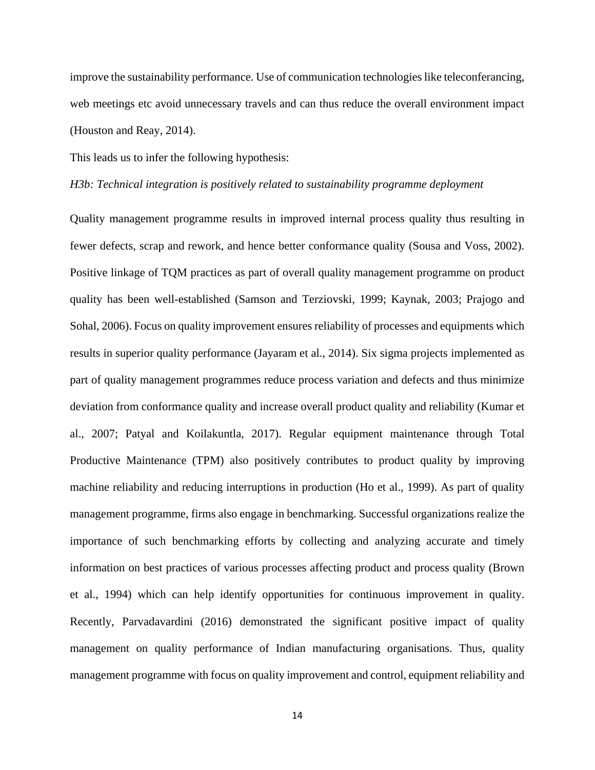improve the sustainability performance. Use of communication technologies like teleconferancing, web meetings etc avoid unnecessary travels and can thus reduce the overall environment impact (Houston and Reay, 2014).

This leads us to infer the following hypothesis:

#### *H3b: Technical integration is positively related to sustainability programme deployment*

Quality management programme results in improved internal process quality thus resulting in fewer defects, scrap and rework, and hence better conformance quality (Sousa and Voss, 2002). Positive linkage of TQM practices as part of overall quality management programme on product quality has been well-established (Samson and Terziovski, 1999; Kaynak, 2003; Prajogo and Sohal, 2006). Focus on quality improvement ensures reliability of processes and equipments which results in superior quality performance (Jayaram et al., 2014). Six sigma projects implemented as part of quality management programmes reduce process variation and defects and thus minimize deviation from conformance quality and increase overall product quality and reliability (Kumar et al., 2007; Patyal and Koilakuntla, 2017). Regular equipment maintenance through Total Productive Maintenance (TPM) also positively contributes to product quality by improving machine reliability and reducing interruptions in production (Ho et al., 1999). As part of quality management programme, firms also engage in benchmarking. Successful organizations realize the importance of such benchmarking efforts by collecting and analyzing accurate and timely information on best practices of various processes affecting product and process quality (Brown et al., 1994) which can help identify opportunities for continuous improvement in quality. Recently, Parvadavardini (2016) demonstrated the significant positive impact of quality management on quality performance of Indian manufacturing organisations. Thus, quality management programme with focus on quality improvement and control, equipment reliability and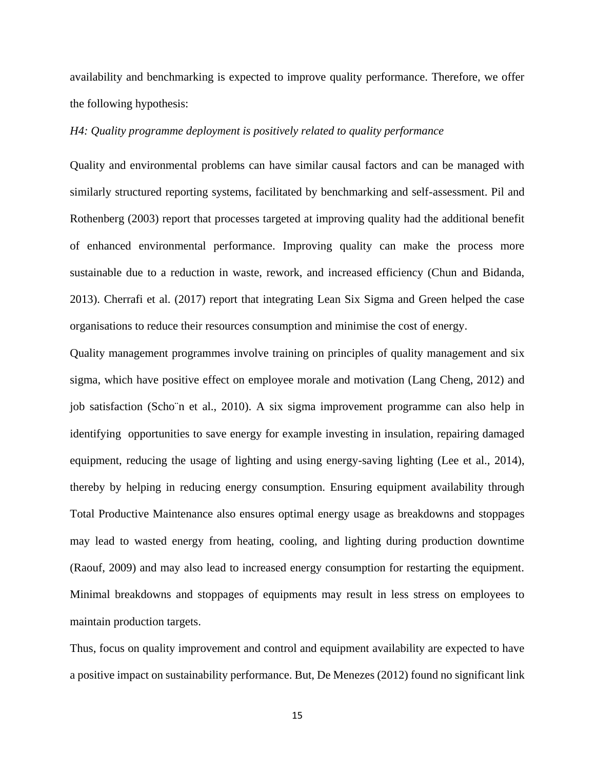availability and benchmarking is expected to improve quality performance. Therefore, we offer the following hypothesis:

# *H4: Quality programme deployment is positively related to quality performance*

Quality and environmental problems can have similar causal factors and can be managed with similarly structured reporting systems, facilitated by benchmarking and self-assessment. Pil and Rothenberg (2003) report that processes targeted at improving quality had the additional benefit of enhanced environmental performance. Improving quality can make the process more sustainable due to a reduction in waste, rework, and increased efficiency (Chun and Bidanda, 2013). Cherrafi et al. (2017) report that integrating Lean Six Sigma and Green helped the case organisations to reduce their resources consumption and minimise the cost of energy.

Quality management programmes involve training on principles of quality management and six sigma, which have positive effect on employee morale and motivation (Lang Cheng, 2012) and job satisfaction (Scho¨n et al., 2010). A six sigma improvement programme can also help in identifying opportunities to save energy for example investing in insulation, repairing damaged equipment, reducing the usage of lighting and using energy-saving lighting (Lee et al., 2014), thereby by helping in reducing energy consumption. Ensuring equipment availability through Total Productive Maintenance also ensures optimal energy usage as breakdowns and stoppages may lead to wasted energy from heating, cooling, and lighting during production downtime (Raouf, 2009) and may also lead to increased energy consumption for restarting the equipment. Minimal breakdowns and stoppages of equipments may result in less stress on employees to maintain production targets.

Thus, focus on quality improvement and control and equipment availability are expected to have a positive impact on sustainability performance. But, De Menezes (2012) found no significant link

15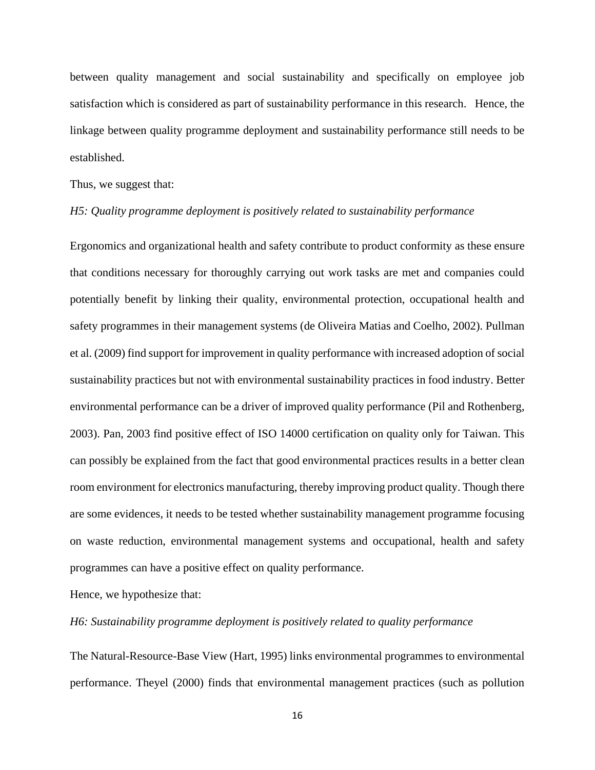between quality management and social sustainability and specifically on employee job satisfaction which is considered as part of sustainability performance in this research. Hence, the linkage between quality programme deployment and sustainability performance still needs to be established.

Thus, we suggest that:

#### *H5: Quality programme deployment is positively related to sustainability performance*

Ergonomics and organizational health and safety contribute to product conformity as these ensure that conditions necessary for thoroughly carrying out work tasks are met and companies could potentially benefit by linking their quality, environmental protection, occupational health and safety programmes in their management systems (de Oliveira Matias and Coelho, 2002). Pullman et al. (2009) find support for improvement in quality performance with increased adoption of social sustainability practices but not with environmental sustainability practices in food industry. Better environmental performance can be a driver of improved quality performance (Pil and Rothenberg, 2003). Pan, 2003 find positive effect of ISO 14000 certification on quality only for Taiwan. This can possibly be explained from the fact that good environmental practices results in a better clean room environment for electronics manufacturing, thereby improving product quality. Though there are some evidences, it needs to be tested whether sustainability management programme focusing on waste reduction, environmental management systems and occupational, health and safety programmes can have a positive effect on quality performance.

Hence, we hypothesize that:

# *H6: Sustainability programme deployment is positively related to quality performance*

The Natural-Resource-Base View (Hart, 1995) links environmental programmes to environmental performance. Theyel (2000) finds that environmental management practices (such as pollution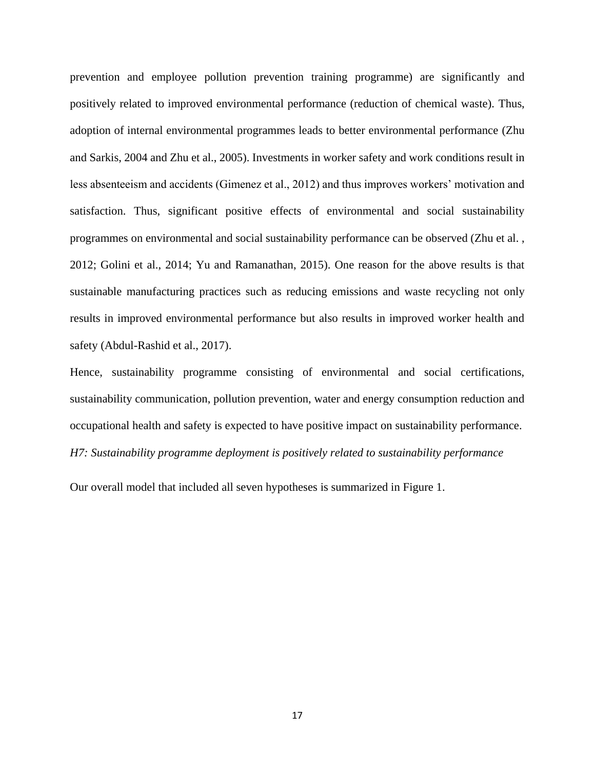prevention and employee pollution prevention training programme) are significantly and positively related to improved environmental performance (reduction of chemical waste). Thus, adoption of internal environmental programmes leads to better environmental performance (Zhu and Sarkis, 2004 and Zhu et al., 2005). Investments in worker safety and work conditions result in less absenteeism and accidents (Gimenez et al., 2012) and thus improves workers' motivation and satisfaction. Thus, significant positive effects of environmental and social sustainability programmes on environmental and social sustainability performance can be observed (Zhu et al. , 2012; Golini et al., 2014; Yu and Ramanathan, 2015). One reason for the above results is that sustainable manufacturing practices such as reducing emissions and waste recycling not only results in improved environmental performance but also results in improved worker health and safety (Abdul-Rashid et al., 2017).

Hence, sustainability programme consisting of environmental and social certifications, sustainability communication, pollution prevention, water and energy consumption reduction and occupational health and safety is expected to have positive impact on sustainability performance. *H7: Sustainability programme deployment is positively related to sustainability performance*

Our overall model that included all seven hypotheses is summarized in Figure 1.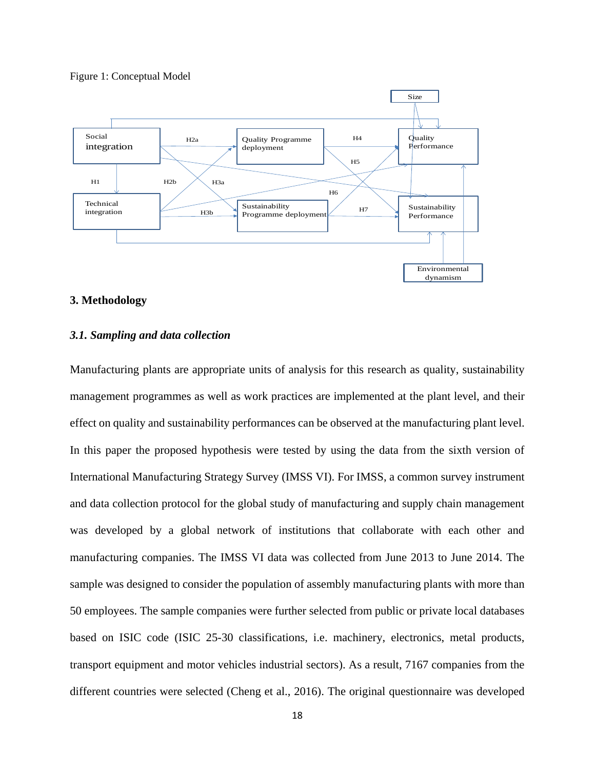#### Figure 1: Conceptual Model



#### **3. Methodology**

# *3.1. Sampling and data collection*

Manufacturing plants are appropriate units of analysis for this research as quality, sustainability management programmes as well as work practices are implemented at the plant level, and their effect on quality and sustainability performances can be observed at the manufacturing plant level. In this paper the proposed hypothesis were tested by using the data from the sixth version of International Manufacturing Strategy Survey (IMSS VI). For IMSS, a common survey instrument and data collection protocol for the global study of manufacturing and supply chain management was developed by a global network of institutions that collaborate with each other and manufacturing companies. The IMSS VI data was collected from June 2013 to June 2014. The sample was designed to consider the population of assembly manufacturing plants with more than 50 employees. The sample companies were further selected from public or private local databases based on ISIC code (ISIC 25-30 classifications, i.e. machinery, electronics, metal products, transport equipment and motor vehicles industrial sectors). As a result, 7167 companies from the different countries were selected (Cheng et al., 2016). The original questionnaire was developed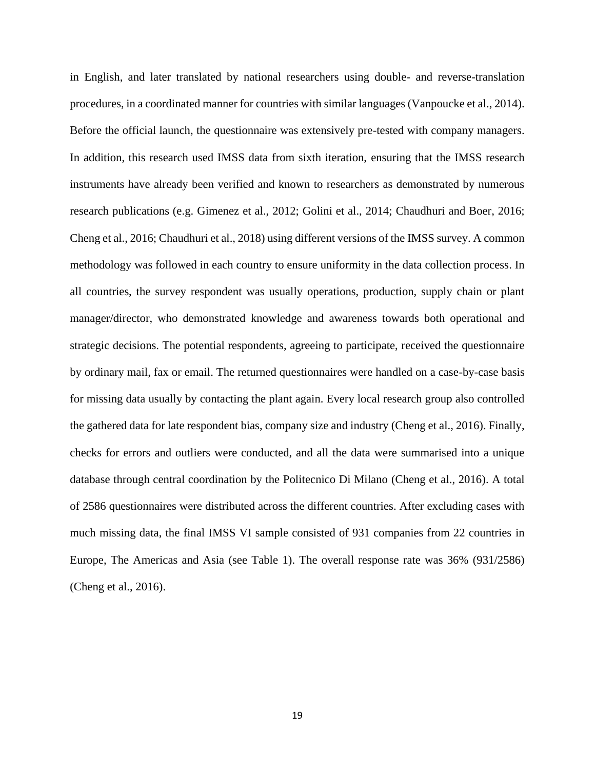in English, and later translated by national researchers using double- and reverse-translation procedures, in a coordinated manner for countries with similar languages (Vanpoucke et al., 2014). Before the official launch, the questionnaire was extensively pre-tested with company managers. In addition, this research used IMSS data from sixth iteration, ensuring that the IMSS research instruments have already been verified and known to researchers as demonstrated by numerous research publications (e.g. Gimenez et al., 2012; Golini et al., 2014; Chaudhuri and Boer, 2016; Cheng et al., 2016; Chaudhuri et al., 2018) using different versions of the IMSS survey. A common methodology was followed in each country to ensure uniformity in the data collection process. In all countries, the survey respondent was usually operations, production, supply chain or plant manager/director, who demonstrated knowledge and awareness towards both operational and strategic decisions. The potential respondents, agreeing to participate, received the questionnaire by ordinary mail, fax or email. The returned questionnaires were handled on a case-by-case basis for missing data usually by contacting the plant again. Every local research group also controlled the gathered data for late respondent bias, company size and industry (Cheng et al., 2016). Finally, checks for errors and outliers were conducted, and all the data were summarised into a unique database through central coordination by the Politecnico Di Milano (Cheng et al., 2016). A total of 2586 questionnaires were distributed across the different countries. After excluding cases with much missing data, the final IMSS VI sample consisted of 931 companies from 22 countries in Europe, The Americas and Asia (see Table 1). The overall response rate was 36% (931/2586) (Cheng et al., 2016).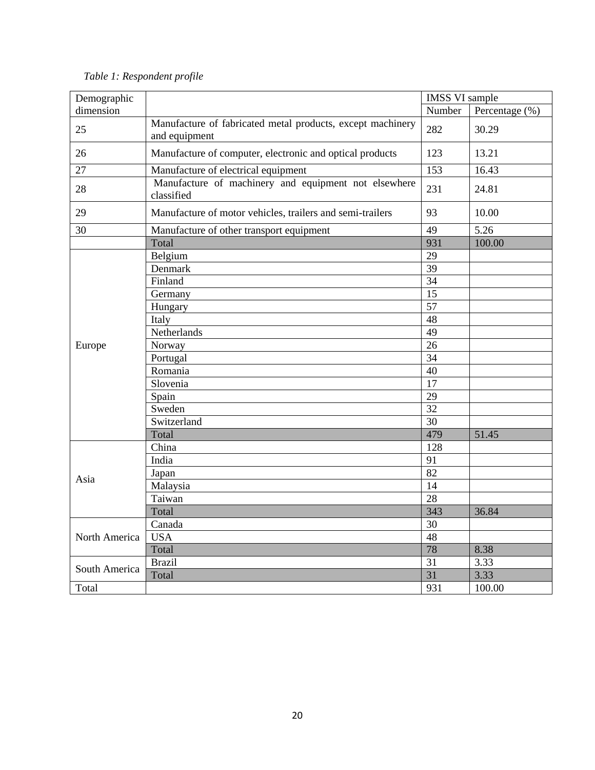| Demographic   |                                                                             | <b>IMSS VI sample</b> |                |
|---------------|-----------------------------------------------------------------------------|-----------------------|----------------|
| dimension     |                                                                             | Number                | Percentage (%) |
| 25            | Manufacture of fabricated metal products, except machinery<br>and equipment | 282                   | 30.29          |
| 26            | Manufacture of computer, electronic and optical products                    | 123                   | 13.21          |
| 27            | Manufacture of electrical equipment                                         | 153                   | 16.43          |
| 28            | Manufacture of machinery and equipment not elsewhere<br>classified          | 231                   | 24.81          |
| 29            | Manufacture of motor vehicles, trailers and semi-trailers                   | 93                    | 10.00          |
| 30            | Manufacture of other transport equipment                                    | 49                    | 5.26           |
|               | Total                                                                       | 931                   | 100.00         |
|               | Belgium                                                                     | 29                    |                |
|               | Denmark                                                                     | 39                    |                |
|               | Finland                                                                     | 34                    |                |
|               | Germany                                                                     | 15                    |                |
|               | Hungary                                                                     | 57                    |                |
|               | Italy                                                                       | 48                    |                |
|               | Netherlands                                                                 | 49                    |                |
| Europe        | Norway                                                                      | 26                    |                |
|               | Portugal                                                                    | 34                    |                |
|               | Romania                                                                     | 40                    |                |
|               | Slovenia                                                                    | 17                    |                |
|               | Spain                                                                       | 29                    |                |
|               | Sweden                                                                      | 32                    |                |
|               | Switzerland                                                                 | 30                    |                |
|               | Total                                                                       | 479                   | 51.45          |
|               | China                                                                       | 128                   |                |
|               | India                                                                       | 91                    |                |
|               | Japan                                                                       | 82                    |                |
| Asia          | Malaysia                                                                    | 14                    |                |
|               | Taiwan                                                                      | $\overline{28}$       |                |
|               | Total                                                                       | 343                   | 36.84          |
|               | Canada                                                                      | 30                    |                |
| North America | <b>USA</b>                                                                  | 48                    |                |
|               | Total                                                                       | 78                    | 8.38           |
|               | <b>Brazil</b>                                                               | 31                    | 3.33           |
| South America | Total                                                                       | 31                    | 3.33           |
| Total         |                                                                             | 931                   | 100.00         |

*Table 1: Respondent profile*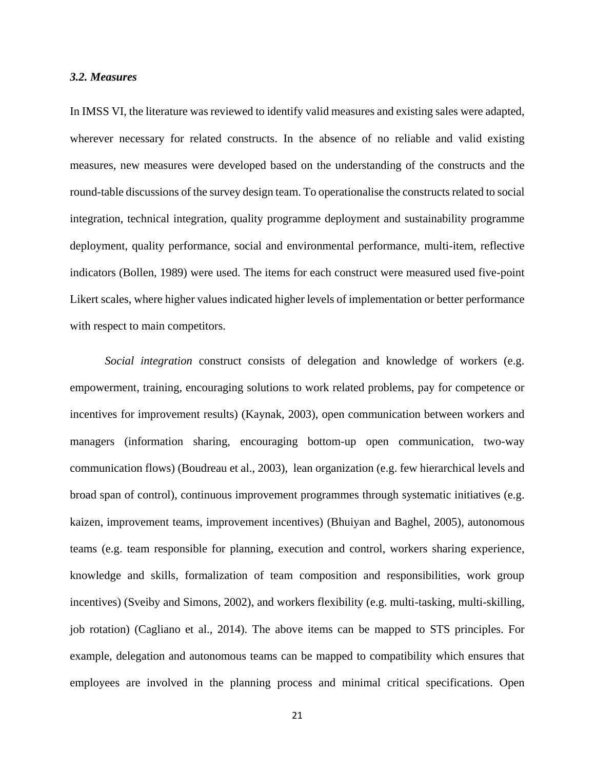### *3.2. Measures*

In IMSS VI, the literature was reviewed to identify valid measures and existing sales were adapted, wherever necessary for related constructs. In the absence of no reliable and valid existing measures, new measures were developed based on the understanding of the constructs and the round-table discussions of the survey design team. To operationalise the constructs related to social integration, technical integration, quality programme deployment and sustainability programme deployment, quality performance, social and environmental performance, multi-item, reflective indicators (Bollen, 1989) were used. The items for each construct were measured used five-point Likert scales, where higher values indicated higher levels of implementation or better performance with respect to main competitors.

*Social integration* construct consists of delegation and knowledge of workers (e.g. empowerment, training, encouraging solutions to work related problems, pay for competence or incentives for improvement results) (Kaynak, 2003), open communication between workers and managers (information sharing, encouraging bottom-up open communication, two-way communication flows) (Boudreau et al., 2003), lean organization (e.g. few hierarchical levels and broad span of control), continuous improvement programmes through systematic initiatives (e.g. kaizen, improvement teams, improvement incentives) (Bhuiyan and Baghel, 2005), autonomous teams (e.g. team responsible for planning, execution and control, workers sharing experience, knowledge and skills, formalization of team composition and responsibilities, work group incentives) (Sveiby and Simons, 2002), and workers flexibility (e.g. multi-tasking, multi-skilling, job rotation) (Cagliano et al., 2014). The above items can be mapped to STS principles. For example, delegation and autonomous teams can be mapped to compatibility which ensures that employees are involved in the planning process and minimal critical specifications. Open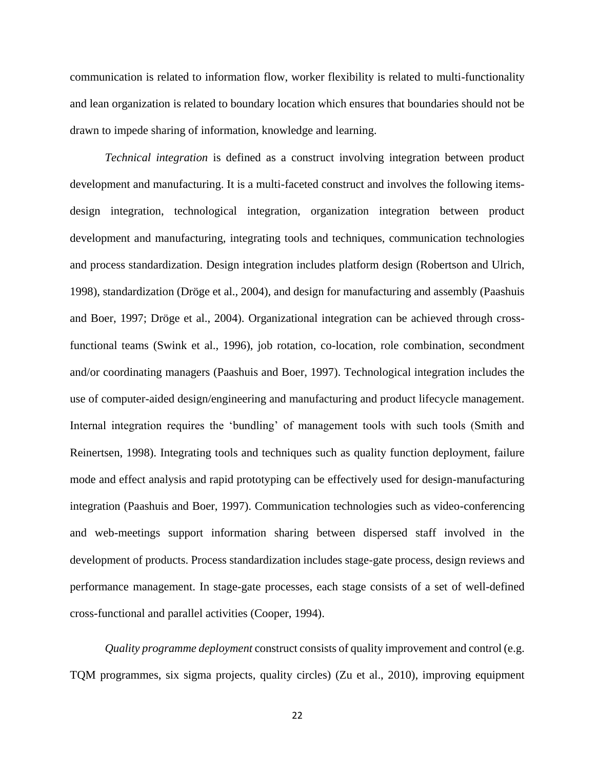communication is related to information flow, worker flexibility is related to multi-functionality and lean organization is related to boundary location which ensures that boundaries should not be drawn to impede sharing of information, knowledge and learning.

*Technical integration* is defined as a construct involving integration between product development and manufacturing. It is a multi-faceted construct and involves the following itemsdesign integration, technological integration, organization integration between product development and manufacturing, integrating tools and techniques, communication technologies and process standardization. Design integration includes platform design (Robertson and Ulrich, 1998), standardization (Dröge et al., 2004), and design for manufacturing and assembly (Paashuis and Boer, 1997; Dröge et al., 2004). Organizational integration can be achieved through crossfunctional teams (Swink et al., 1996), job rotation, co-location, role combination, secondment and/or coordinating managers (Paashuis and Boer, 1997). Technological integration includes the use of computer-aided design/engineering and manufacturing and product lifecycle management. Internal integration requires the 'bundling' of management tools with such tools (Smith and Reinertsen, 1998). Integrating tools and techniques such as quality function deployment, failure mode and effect analysis and rapid prototyping can be effectively used for design-manufacturing integration (Paashuis and Boer, 1997). Communication technologies such as video-conferencing and web-meetings support information sharing between dispersed staff involved in the development of products. Process standardization includes stage-gate process, design reviews and performance management. In stage-gate processes, each stage consists of a set of well-defined cross-functional and parallel activities (Cooper, 1994).

*Quality programme deployment* construct consists of quality improvement and control (e.g. TQM programmes, six sigma projects, quality circles) (Zu et al., 2010), improving equipment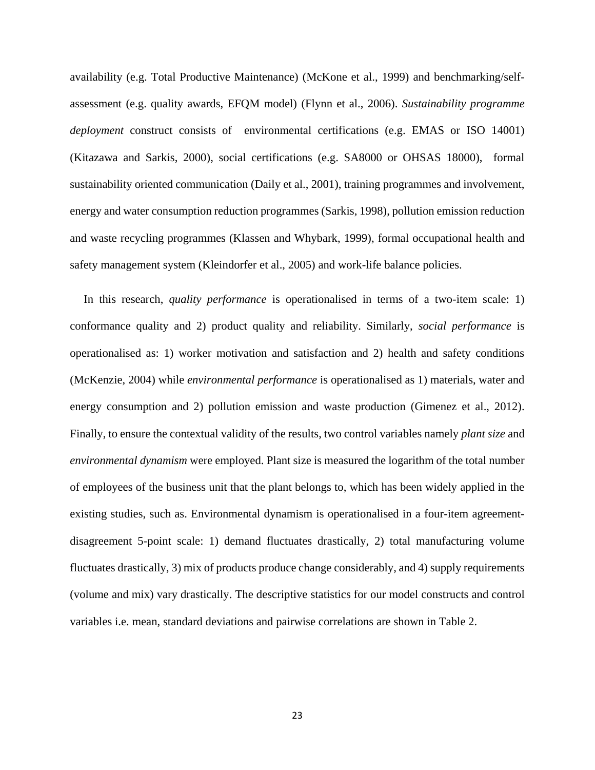availability (e.g. Total Productive Maintenance) (McKone et al., 1999) and benchmarking/selfassessment (e.g. quality awards, EFQM model) (Flynn et al., 2006). *Sustainability programme deployment* construct consists of environmental certifications (e.g. EMAS or ISO 14001) (Kitazawa and Sarkis, 2000), social certifications (e.g. SA8000 or OHSAS 18000), formal sustainability oriented communication (Daily et al., 2001), training programmes and involvement, energy and water consumption reduction programmes (Sarkis, 1998), pollution emission reduction and waste recycling programmes (Klassen and Whybark, 1999), formal occupational health and safety management system (Kleindorfer et al., 2005) and work-life balance policies.

In this research, *quality performance* is operationalised in terms of a two-item scale: 1) conformance quality and 2) product quality and reliability. Similarly, *social performance* is operationalised as: 1) worker motivation and satisfaction and 2) health and safety conditions (McKenzie, 2004) while *environmental performance* is operationalised as 1) materials, water and energy consumption and 2) pollution emission and waste production (Gimenez et al., 2012). Finally, to ensure the contextual validity of the results, two control variables namely *plant size* and *environmental dynamism* were employed. Plant size is measured the logarithm of the total number of employees of the business unit that the plant belongs to, which has been widely applied in the existing studies, such as. Environmental dynamism is operationalised in a four-item agreementdisagreement 5-point scale: 1) demand fluctuates drastically, 2) total manufacturing volume fluctuates drastically, 3) mix of products produce change considerably, and 4) supply requirements (volume and mix) vary drastically. The descriptive statistics for our model constructs and control variables i.e. mean, standard deviations and pairwise correlations are shown in Table 2.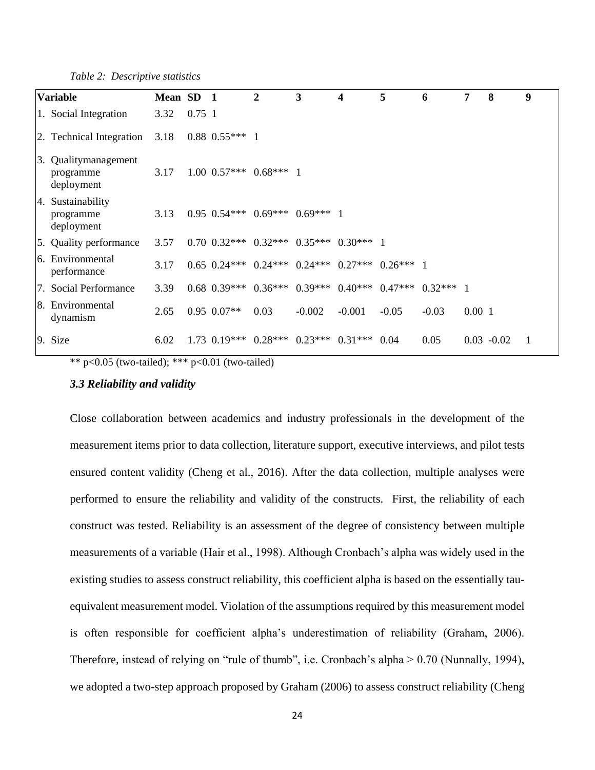*Table 2: Descriptive statistics*

|    | <b>Variable</b>                                 | Mean SD 1 |          |                    | $\overline{2}$                                                       | $\mathbf{3}$                  | 4        | 5       | 6       | 7     | 8             | 9 |
|----|-------------------------------------------------|-----------|----------|--------------------|----------------------------------------------------------------------|-------------------------------|----------|---------|---------|-------|---------------|---|
|    | 1. Social Integration                           | 3.32      | $0.75$ 1 |                    |                                                                      |                               |          |         |         |       |               |   |
|    | 2. Technical Integration                        | 3.18      |          | $0.88$ $0.55***$ 1 |                                                                      |                               |          |         |         |       |               |   |
|    | 3. Qualitymanagement<br>programme<br>deployment | 3.17      |          | $1.00 \ \ 0.57***$ | $0.68***$ 1                                                          |                               |          |         |         |       |               |   |
| 4. | Sustainability<br>programme<br>deployment       | 3.13      |          |                    | $0.95$ $0.54***$ $0.69***$ $0.69***$ 1                               |                               |          |         |         |       |               |   |
|    | 5. Quality performance                          | 3.57      |          |                    | $0.70$ $0.32***$ $0.32***$ $0.35***$ $0.30***$ 1                     |                               |          |         |         |       |               |   |
|    | 6. Environmental<br>performance                 | 3.17      |          |                    | $0.65$ $0.24***$ $0.24***$ $0.24***$ $0.27***$ $0.26***$ 1           |                               |          |         |         |       |               |   |
|    | 7. Social Performance                           | 3.39      |          |                    | $0.68$ $0.39***$ $0.36***$ $0.39***$ $0.40***$ $0.47***$ $0.32***$ 1 |                               |          |         |         |       |               |   |
| 8. | Environmental<br>dynamism                       | 2.65      |          | $0.95$ $0.07**$    | 0.03                                                                 | $-0.002$                      | $-0.001$ | $-0.05$ | $-0.03$ | 0.001 |               |   |
|    | 9. Size                                         | 6.02      |          | $1.73 \ \ 0.19***$ |                                                                      | $0.28***$ $0.23***$ $0.31***$ |          | 0.04    | 0.05    |       | $0.03 - 0.02$ |   |

\*\*  $p < 0.05$  (two-tailed); \*\*\*  $p < 0.01$  (two-tailed)

# *3.3 Reliability and validity*

Close collaboration between academics and industry professionals in the development of the measurement items prior to data collection, literature support, executive interviews, and pilot tests ensured content validity (Cheng et al., 2016). After the data collection, multiple analyses were performed to ensure the reliability and validity of the constructs. First, the reliability of each construct was tested. Reliability is an assessment of the degree of consistency between multiple measurements of a variable (Hair et al., 1998). Although Cronbach's alpha was widely used in the existing studies to assess construct reliability, this coefficient alpha is based on the essentially tauequivalent measurement model. Violation of the assumptions required by this measurement model is often responsible for coefficient alpha's underestimation of reliability (Graham, 2006). Therefore, instead of relying on "rule of thumb", i.e. Cronbach's alpha > 0.70 (Nunnally, 1994), we adopted a two-step approach proposed by Graham (2006) to assess construct reliability (Cheng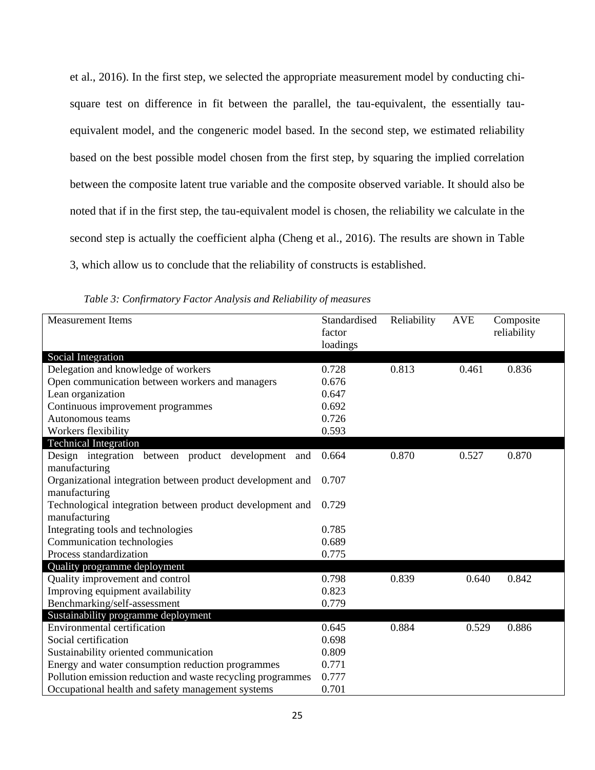et al., 2016). In the first step, we selected the appropriate measurement model by conducting chisquare test on difference in fit between the parallel, the tau-equivalent, the essentially tauequivalent model, and the congeneric model based. In the second step, we estimated reliability based on the best possible model chosen from the first step, by squaring the implied correlation between the composite latent true variable and the composite observed variable. It should also be noted that if in the first step, the tau-equivalent model is chosen, the reliability we calculate in the second step is actually the coefficient alpha (Cheng et al., 2016). The results are shown in Table 3, which allow us to conclude that the reliability of constructs is established.

| <b>Measurement Items</b>                                    | Standardised | Reliability | <b>AVE</b> | Composite   |
|-------------------------------------------------------------|--------------|-------------|------------|-------------|
|                                                             | factor       |             |            | reliability |
|                                                             | loadings     |             |            |             |
| Social Integration                                          |              |             |            |             |
| Delegation and knowledge of workers                         | 0.728        | 0.813       | 0.461      | 0.836       |
| Open communication between workers and managers             | 0.676        |             |            |             |
| Lean organization                                           | 0.647        |             |            |             |
| Continuous improvement programmes                           | 0.692        |             |            |             |
| Autonomous teams                                            | 0.726        |             |            |             |
| Workers flexibility                                         | 0.593        |             |            |             |
| <b>Technical Integration</b>                                |              |             |            |             |
| Design integration between product development and          | 0.664        | 0.870       | 0.527      | 0.870       |
| manufacturing                                               |              |             |            |             |
| Organizational integration between product development and  | 0.707        |             |            |             |
| manufacturing                                               |              |             |            |             |
| Technological integration between product development and   | 0.729        |             |            |             |
| manufacturing                                               |              |             |            |             |
| Integrating tools and technologies                          | 0.785        |             |            |             |
| Communication technologies                                  | 0.689        |             |            |             |
| Process standardization                                     | 0.775        |             |            |             |
| Quality programme deployment                                |              |             |            |             |
| Quality improvement and control                             | 0.798        | 0.839       | 0.640      | 0.842       |
| Improving equipment availability                            | 0.823        |             |            |             |
| Benchmarking/self-assessment                                | 0.779        |             |            |             |
| Sustainability programme deployment                         |              |             |            |             |
| <b>Environmental certification</b>                          | 0.645        | 0.884       | 0.529      | 0.886       |
| Social certification                                        | 0.698        |             |            |             |
| Sustainability oriented communication                       | 0.809        |             |            |             |
| Energy and water consumption reduction programmes           | 0.771        |             |            |             |
| Pollution emission reduction and waste recycling programmes | 0.777        |             |            |             |
| Occupational health and safety management systems           | 0.701        |             |            |             |

*Table 3: Confirmatory Factor Analysis and Reliability of measures*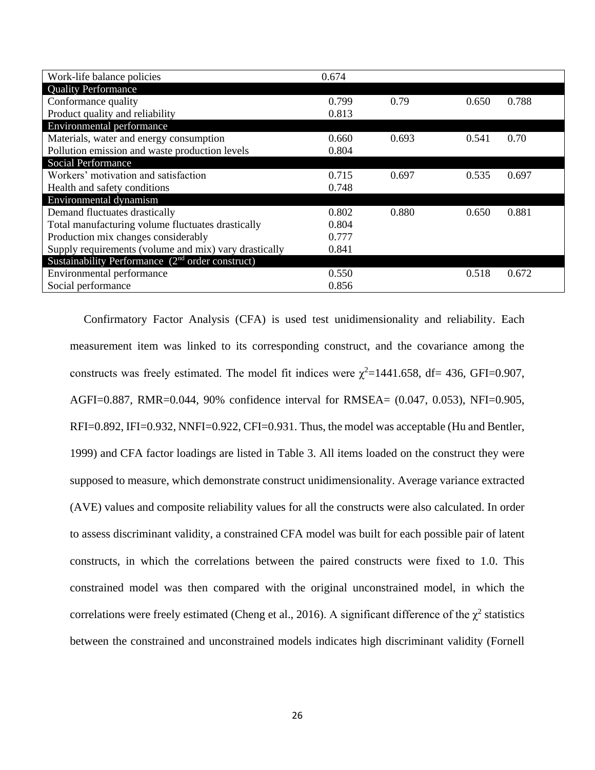| Work-life balance policies                            | 0.674 |       |       |       |
|-------------------------------------------------------|-------|-------|-------|-------|
| <b>Quality Performance</b>                            |       |       |       |       |
| Conformance quality                                   | 0.799 | 0.79  | 0.650 | 0.788 |
| Product quality and reliability                       | 0.813 |       |       |       |
| Environmental performance                             |       |       |       |       |
| Materials, water and energy consumption               | 0.660 | 0.693 | 0.541 | 0.70  |
| Pollution emission and waste production levels        | 0.804 |       |       |       |
| <b>Social Performance</b>                             |       |       |       |       |
| Workers' motivation and satisfaction                  | 0.715 | 0.697 | 0.535 | 0.697 |
| Health and safety conditions                          | 0.748 |       |       |       |
| Environmental dynamism                                |       |       |       |       |
| Demand fluctuates drastically                         | 0.802 | 0.880 | 0.650 | 0.881 |
| Total manufacturing volume fluctuates drastically     | 0.804 |       |       |       |
| Production mix changes considerably                   | 0.777 |       |       |       |
| Supply requirements (volume and mix) vary drastically | 0.841 |       |       |       |
| Sustainability Performance $(2nd order construct)$    |       |       |       |       |
| Environmental performance                             | 0.550 |       | 0.518 | 0.672 |
| Social performance                                    | 0.856 |       |       |       |

Confirmatory Factor Analysis (CFA) is used test unidimensionality and reliability. Each measurement item was linked to its corresponding construct, and the covariance among the constructs was freely estimated. The model fit indices were  $\chi^2$ =1441.658, df= 436, GFI=0.907, AGFI=0.887, RMR=0.044, 90% confidence interval for RMSEA= (0.047, 0.053), NFI=0.905, RFI=0.892, IFI=0.932, NNFI=0.922, CFI=0.931. Thus, the model was acceptable (Hu and Bentler, 1999) and CFA factor loadings are listed in Table 3. All items loaded on the construct they were supposed to measure, which demonstrate construct unidimensionality. Average variance extracted (AVE) values and composite reliability values for all the constructs were also calculated. In order to assess discriminant validity, a constrained CFA model was built for each possible pair of latent constructs, in which the correlations between the paired constructs were fixed to 1.0. This constrained model was then compared with the original unconstrained model, in which the correlations were freely estimated (Cheng et al., 2016). A significant difference of the  $\chi^2$  statistics between the constrained and unconstrained models indicates high discriminant validity (Fornell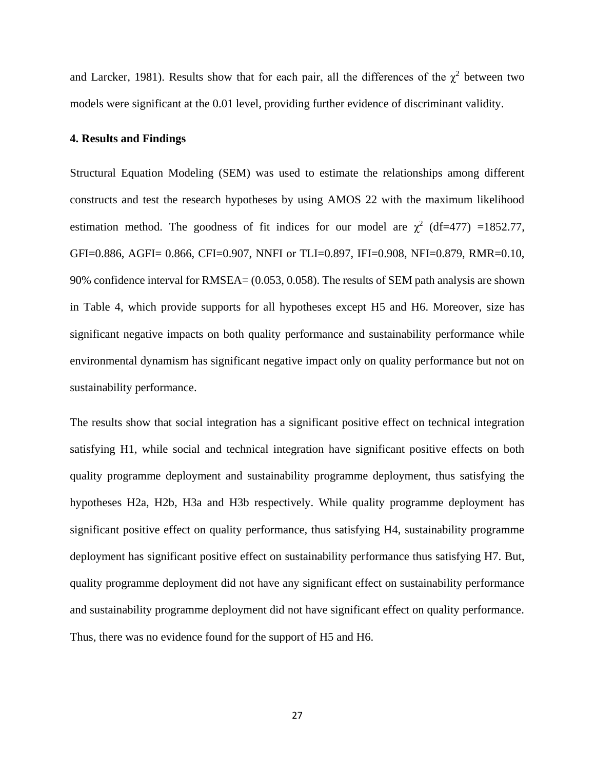and Larcker, 1981). Results show that for each pair, all the differences of the  $\chi^2$  between two models were significant at the 0.01 level, providing further evidence of discriminant validity.

### **4. Results and Findings**

Structural Equation Modeling (SEM) was used to estimate the relationships among different constructs and test the research hypotheses by using AMOS 22 with the maximum likelihood estimation method. The goodness of fit indices for our model are  $\chi^2$  (df=477) =1852.77, GFI=0.886, AGFI= 0.866, CFI=0.907, NNFI or TLI=0.897, IFI=0.908, NFI=0.879, RMR=0.10, 90% confidence interval for RMSEA= (0.053, 0.058). The results of SEM path analysis are shown in Table 4, which provide supports for all hypotheses except H5 and H6. Moreover, size has significant negative impacts on both quality performance and sustainability performance while environmental dynamism has significant negative impact only on quality performance but not on sustainability performance.

The results show that social integration has a significant positive effect on technical integration satisfying H1, while social and technical integration have significant positive effects on both quality programme deployment and sustainability programme deployment, thus satisfying the hypotheses H2a, H2b, H3a and H3b respectively. While quality programme deployment has significant positive effect on quality performance, thus satisfying H4, sustainability programme deployment has significant positive effect on sustainability performance thus satisfying H7. But, quality programme deployment did not have any significant effect on sustainability performance and sustainability programme deployment did not have significant effect on quality performance. Thus, there was no evidence found for the support of H5 and H6.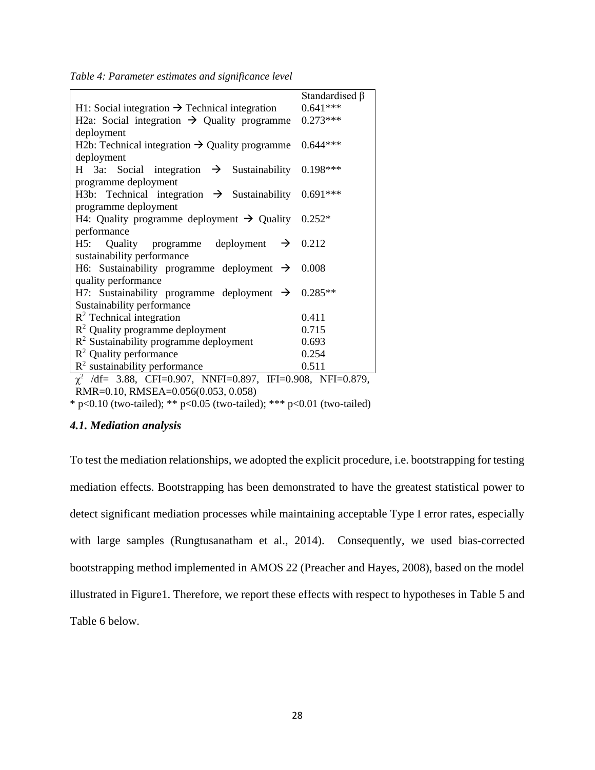*Table 4: Parameter estimates and significance level*

|                                                                                                                | Standardised $\beta$ |
|----------------------------------------------------------------------------------------------------------------|----------------------|
| H1: Social integration $\rightarrow$ Technical integration                                                     | $0.641***$           |
| H2a: Social integration $\rightarrow$ Quality programme                                                        | $0.273***$           |
| deployment                                                                                                     |                      |
| H2b: Technical integration $\rightarrow$ Quality programme                                                     | $0.644***$           |
| deployment                                                                                                     |                      |
| H 3a: Social integration $\rightarrow$ Sustainability 0.198***                                                 |                      |
| programme deployment                                                                                           |                      |
| H3b: Technical integration $\rightarrow$ Sustainability 0.691***                                               |                      |
| programme deployment                                                                                           |                      |
| H4: Quality programme deployment $\rightarrow$ Quality 0.252*                                                  |                      |
| performance                                                                                                    |                      |
| H5: Quality programme deployment $\rightarrow$ 0.212                                                           |                      |
| sustainability performance                                                                                     |                      |
| H6: Sustainability programme deployment $\rightarrow$                                                          | 0.008                |
| quality performance                                                                                            |                      |
| H7: Sustainability programme deployment $\rightarrow$ 0.285**                                                  |                      |
| Sustainability performance                                                                                     |                      |
| $R^2$ Technical integration                                                                                    | 0.411                |
| $R2$ Quality programme deployment                                                                              | 0.715                |
| $\mathbb{R}^2$ Sustainability programme deployment                                                             | 0.693                |
| $R^2$ Quality performance                                                                                      | 0.254                |
| $R2$ sustainability performance                                                                                | 0.511                |
| $\chi^2$ /df = 3.88, CFI=0.907, NNFI=0.897, IFI=0.908, NFI=0.879,<br><b>BLO 0.10 BLOB</b> L 0.05500.050 0.050\ |                      |

RMR=0.10, RMSEA=0.056(0.053, 0.058)

\* p<0.10 (two-tailed); \*\* p<0.05 (two-tailed); \*\*\* p<0.01 (two-tailed)

# *4.1. Mediation analysis*

To test the mediation relationships, we adopted the explicit procedure, i.e. bootstrapping for testing mediation effects. Bootstrapping has been demonstrated to have the greatest statistical power to detect significant mediation processes while maintaining acceptable Type I error rates, especially with large samples (Rungtusanatham et al., 2014). Consequently, we used bias-corrected bootstrapping method implemented in AMOS 22 (Preacher and Hayes, 2008), based on the model illustrated in Figure1. Therefore, we report these effects with respect to hypotheses in Table 5 and Table 6 below.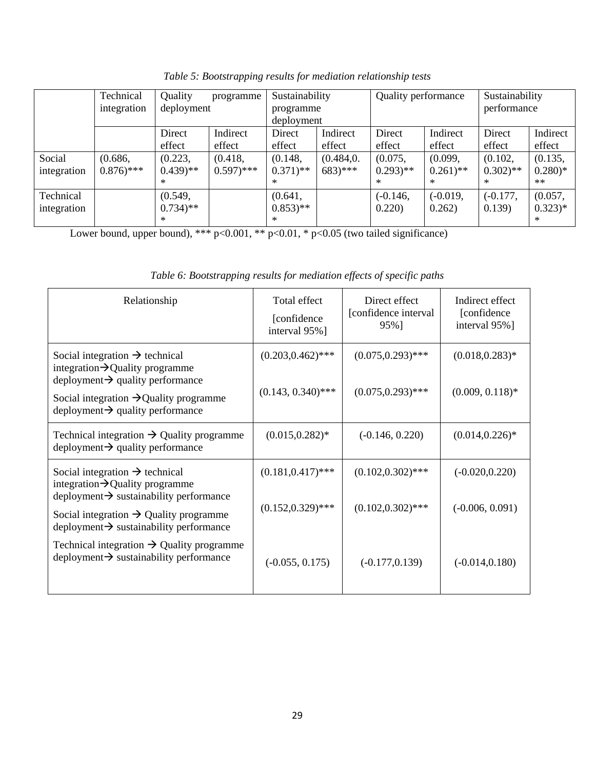|             | Technical              | Quality               | programme     | Sustainability        |                      | Quality performance   |                       | Sustainability        |           |
|-------------|------------------------|-----------------------|---------------|-----------------------|----------------------|-----------------------|-----------------------|-----------------------|-----------|
|             | integration            | deployment            |               | programme             |                      |                       |                       | performance           |           |
|             |                        |                       |               | deployment            |                      |                       |                       |                       |           |
|             |                        | Direct                | Indirect      | Direct                | Indirect             | Direct                | Indirect              | Direct                | Indirect  |
|             |                        | effect                | effect        | effect                | effect               | effect                | effect                | effect                | effect    |
| Social      | (0.686,                | (0.223,               | (0.418,       | (0.148,               | (0.484, 0.           | (0.075,               | (0.099,               | (0.102,               | (0.135,   |
| integration | $0.876$ <sup>***</sup> | $(0.439)$ **          | $(0.597)$ *** | $0.371$ <sup>**</sup> | $683$ <sup>***</sup> | $0.293$ <sup>**</sup> | $0.261$ <sup>**</sup> | $0.302$ <sup>**</sup> | $0.280)*$ |
|             |                        | $\ast$                |               | $\ast$                |                      | $\ast$                | $\ast$                | $*$                   | $***$     |
| Technical   |                        | (0.549,               |               | (0.641,               |                      | $(-0.146,$            | $(-0.019,$            | $(-0.177,$            | (0.057,   |
| integration |                        | $0.734$ <sup>**</sup> |               | $0.853$ <sup>**</sup> |                      | 0.220)                | 0.262)                | 0.139)                | $0.323)*$ |
|             |                        | $\ast$                |               | $*$                   |                      |                       |                       |                       | $*$       |

*Table 5: Bootstrapping results for mediation relationship tests*

Lower bound, upper bound), \*\*\*  $p<0.001$ , \*\*  $p<0.01$ , \*  $p<0.05$  (two tailed significance)

| Relationship                                                                                                                                                                                                                                    | Total effect<br>[confidence]<br>interval 95%] | Direct effect<br>[confidence interval]<br>95%] | Indirect effect<br>[confidence]<br>interval 95%] |
|-------------------------------------------------------------------------------------------------------------------------------------------------------------------------------------------------------------------------------------------------|-----------------------------------------------|------------------------------------------------|--------------------------------------------------|
| Social integration $\rightarrow$ technical<br>integration $\rightarrow$ Quality programme<br>$deployment \rightarrow quality performance$<br>Social integration $\rightarrow$ Quality programme<br>$deployment \rightarrow quality performance$ | $(0.203, 0.462)$ ***<br>$(0.143, 0.340)$ ***  | $(0.075, 0.293)$ ***<br>$(0.075, 0.293)$ ***   | $(0.018, 0.283)^*$<br>$(0.009, 0.118)$ *         |
| Technical integration $\rightarrow$ Quality programme<br>$deployment \rightarrow quality performance$                                                                                                                                           | $(0.015, 0.282)^*$                            | $(-0.146, 0.220)$                              | $(0.014, 0.226)^*$                               |
| Social integration $\rightarrow$ technical<br>integration $\rightarrow$ Quality programme<br>$deployment \rightarrow$ sustainability performance                                                                                                | $(0.181, 0.417)$ ***                          | $(0.102, 0.302)$ ***                           | $(-0.020, 0.220)$                                |
| Social integration $\rightarrow$ Quality programme<br>$deployment \rightarrow$ sustainability performance                                                                                                                                       | $(0.152, 0.329)$ ***                          | $(0.102, 0.302)$ ***                           | $(-0.006, 0.091)$                                |
| Technical integration $\rightarrow$ Quality programme<br>$deployment \rightarrow$ sustainability performance                                                                                                                                    | $(-0.055, 0.175)$                             | $(-0.177, 0.139)$                              | $(-0.014, 0.180)$                                |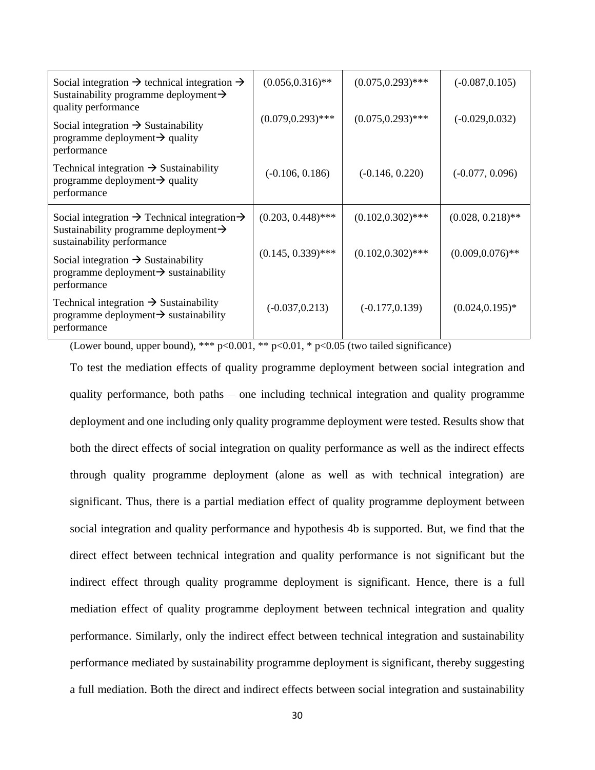| Social integration $\rightarrow$ technical integration $\rightarrow$<br>Sustainability programme deployment $\rightarrow$<br>quality performance        | $(0.056, 0.316)$ **  | $(0.075, 0.293)$ *** | $(-0.087, 0.105)$   |
|---------------------------------------------------------------------------------------------------------------------------------------------------------|----------------------|----------------------|---------------------|
| Social integration $\rightarrow$ Sustainability<br>programme deployment $\rightarrow$ quality<br>performance                                            | $(0.079, 0.293)$ *** | $(0.075, 0.293)$ *** | $(-0.029, 0.032)$   |
| Technical integration $\rightarrow$ Sustainability<br>programme deployment $\rightarrow$ quality<br>performance                                         | $(-0.106, 0.186)$    | $(-0.146, 0.220)$    | $(-0.077, 0.096)$   |
|                                                                                                                                                         |                      |                      |                     |
| Social integration $\rightarrow$ Technical integration $\rightarrow$<br>Sustainability programme deployment $\rightarrow$<br>sustainability performance | $(0.203, 0.448)$ *** | $(0.102, 0.302)$ *** | $(0.028, 0.218)$ ** |
| Social integration $\rightarrow$ Sustainability<br>programme deployment $\rightarrow$ sustainability<br>performance                                     | $(0.145, 0.339)$ *** | $(0.102, 0.302)$ *** | $(0.009, 0.076)$ ** |

(Lower bound, upper bound), \*\*\*  $p<0.001$ , \*\*  $p<0.01$ , \*  $p<0.05$  (two tailed significance)

To test the mediation effects of quality programme deployment between social integration and quality performance, both paths – one including technical integration and quality programme deployment and one including only quality programme deployment were tested. Results show that both the direct effects of social integration on quality performance as well as the indirect effects through quality programme deployment (alone as well as with technical integration) are significant. Thus, there is a partial mediation effect of quality programme deployment between social integration and quality performance and hypothesis 4b is supported. But, we find that the direct effect between technical integration and quality performance is not significant but the indirect effect through quality programme deployment is significant. Hence, there is a full mediation effect of quality programme deployment between technical integration and quality performance. Similarly, only the indirect effect between technical integration and sustainability performance mediated by sustainability programme deployment is significant, thereby suggesting a full mediation. Both the direct and indirect effects between social integration and sustainability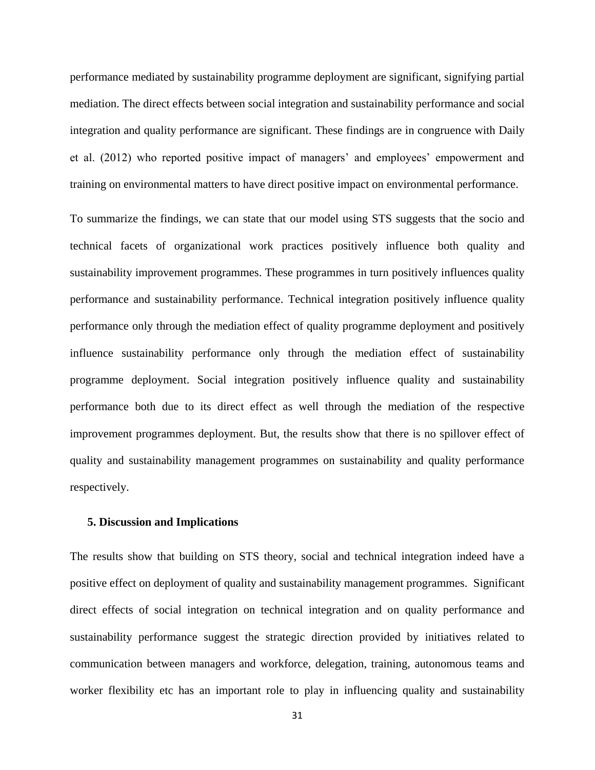performance mediated by sustainability programme deployment are significant, signifying partial mediation. The direct effects between social integration and sustainability performance and social integration and quality performance are significant. These findings are in congruence with Daily et al. (2012) who reported positive impact of managers' and employees' empowerment and training on environmental matters to have direct positive impact on environmental performance.

To summarize the findings, we can state that our model using STS suggests that the socio and technical facets of organizational work practices positively influence both quality and sustainability improvement programmes. These programmes in turn positively influences quality performance and sustainability performance. Technical integration positively influence quality performance only through the mediation effect of quality programme deployment and positively influence sustainability performance only through the mediation effect of sustainability programme deployment. Social integration positively influence quality and sustainability performance both due to its direct effect as well through the mediation of the respective improvement programmes deployment. But, the results show that there is no spillover effect of quality and sustainability management programmes on sustainability and quality performance respectively.

#### **5. Discussion and Implications**

The results show that building on STS theory, social and technical integration indeed have a positive effect on deployment of quality and sustainability management programmes. Significant direct effects of social integration on technical integration and on quality performance and sustainability performance suggest the strategic direction provided by initiatives related to communication between managers and workforce, delegation, training, autonomous teams and worker flexibility etc has an important role to play in influencing quality and sustainability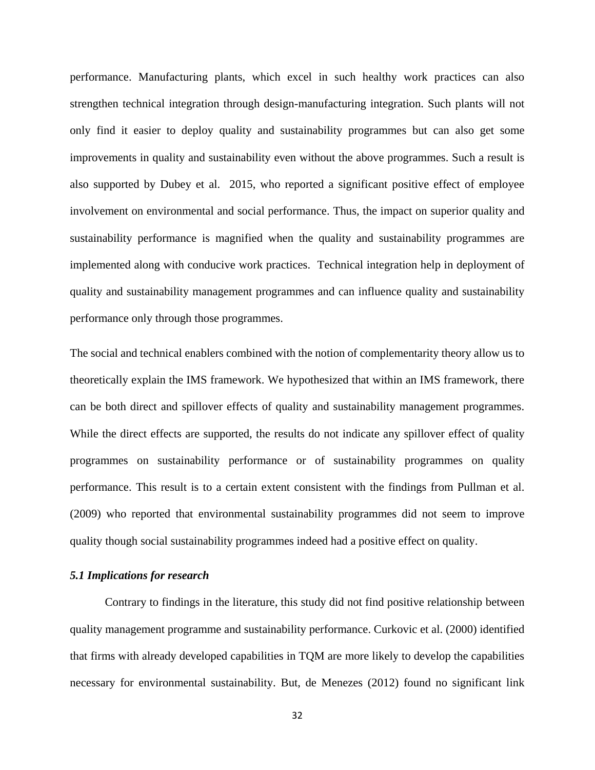performance. Manufacturing plants, which excel in such healthy work practices can also strengthen technical integration through design-manufacturing integration. Such plants will not only find it easier to deploy quality and sustainability programmes but can also get some improvements in quality and sustainability even without the above programmes. Such a result is also supported by Dubey et al. 2015, who reported a significant positive effect of employee involvement on environmental and social performance. Thus, the impact on superior quality and sustainability performance is magnified when the quality and sustainability programmes are implemented along with conducive work practices. Technical integration help in deployment of quality and sustainability management programmes and can influence quality and sustainability performance only through those programmes.

The social and technical enablers combined with the notion of complementarity theory allow us to theoretically explain the IMS framework. We hypothesized that within an IMS framework, there can be both direct and spillover effects of quality and sustainability management programmes. While the direct effects are supported, the results do not indicate any spillover effect of quality programmes on sustainability performance or of sustainability programmes on quality performance. This result is to a certain extent consistent with the findings from Pullman et al. (2009) who reported that environmental sustainability programmes did not seem to improve quality though social sustainability programmes indeed had a positive effect on quality.

# *5.1 Implications for research*

Contrary to findings in the literature, this study did not find positive relationship between quality management programme and sustainability performance. Curkovic et al. (2000) identified that firms with already developed capabilities in TQM are more likely to develop the capabilities necessary for environmental sustainability. But, de Menezes (2012) found no significant link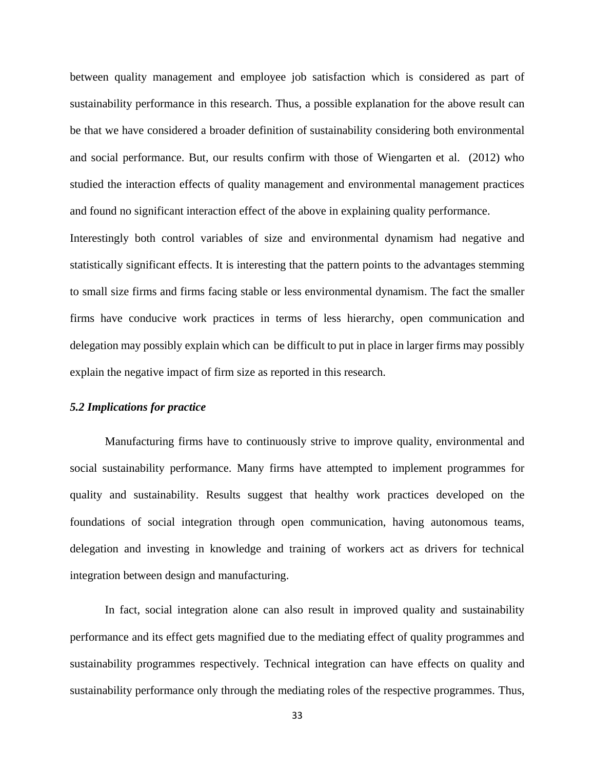between quality management and employee job satisfaction which is considered as part of sustainability performance in this research. Thus, a possible explanation for the above result can be that we have considered a broader definition of sustainability considering both environmental and social performance. But, our results confirm with those of Wiengarten et al. (2012) who studied the interaction effects of quality management and environmental management practices and found no significant interaction effect of the above in explaining quality performance.

Interestingly both control variables of size and environmental dynamism had negative and statistically significant effects. It is interesting that the pattern points to the advantages stemming to small size firms and firms facing stable or less environmental dynamism. The fact the smaller firms have conducive work practices in terms of less hierarchy, open communication and delegation may possibly explain which can be difficult to put in place in larger firms may possibly explain the negative impact of firm size as reported in this research.

# *5.2 Implications for practice*

Manufacturing firms have to continuously strive to improve quality, environmental and social sustainability performance. Many firms have attempted to implement programmes for quality and sustainability. Results suggest that healthy work practices developed on the foundations of social integration through open communication, having autonomous teams, delegation and investing in knowledge and training of workers act as drivers for technical integration between design and manufacturing.

In fact, social integration alone can also result in improved quality and sustainability performance and its effect gets magnified due to the mediating effect of quality programmes and sustainability programmes respectively. Technical integration can have effects on quality and sustainability performance only through the mediating roles of the respective programmes. Thus,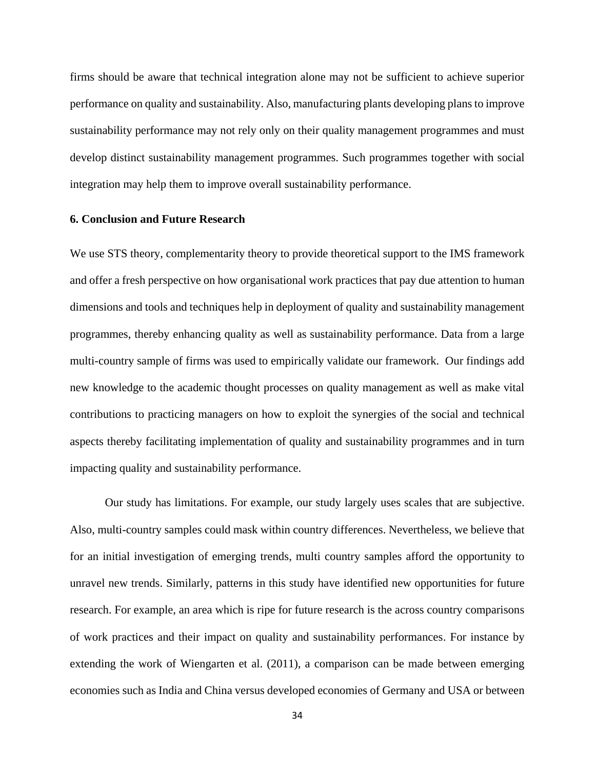firms should be aware that technical integration alone may not be sufficient to achieve superior performance on quality and sustainability. Also, manufacturing plants developing plans to improve sustainability performance may not rely only on their quality management programmes and must develop distinct sustainability management programmes. Such programmes together with social integration may help them to improve overall sustainability performance.

# **6. Conclusion and Future Research**

We use STS theory, complementarity theory to provide theoretical support to the IMS framework and offer a fresh perspective on how organisational work practices that pay due attention to human dimensions and tools and techniques help in deployment of quality and sustainability management programmes, thereby enhancing quality as well as sustainability performance. Data from a large multi-country sample of firms was used to empirically validate our framework. Our findings add new knowledge to the academic thought processes on quality management as well as make vital contributions to practicing managers on how to exploit the synergies of the social and technical aspects thereby facilitating implementation of quality and sustainability programmes and in turn impacting quality and sustainability performance.

Our study has limitations. For example, our study largely uses scales that are subjective. Also, multi-country samples could mask within country differences. Nevertheless, we believe that for an initial investigation of emerging trends, multi country samples afford the opportunity to unravel new trends. Similarly, patterns in this study have identified new opportunities for future research. For example, an area which is ripe for future research is the across country comparisons of work practices and their impact on quality and sustainability performances. For instance by extending the work of Wiengarten et al. (2011), a comparison can be made between emerging economies such as India and China versus developed economies of Germany and USA or between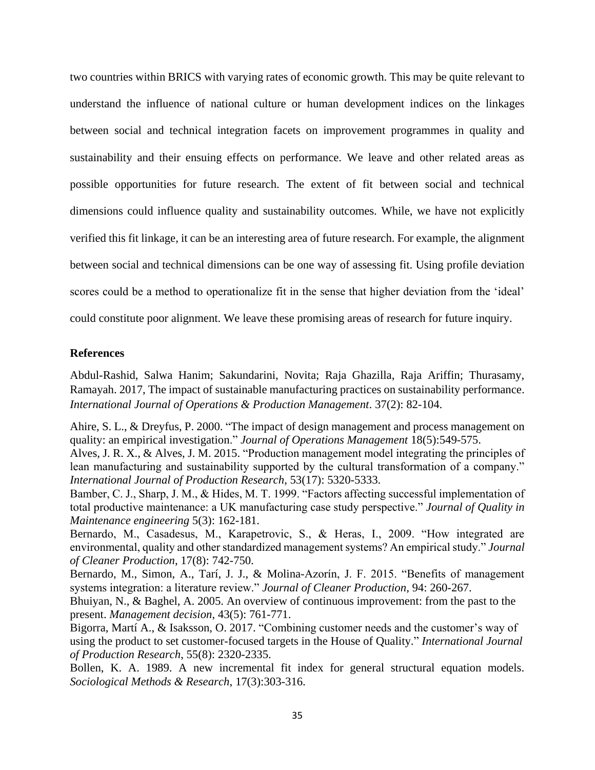two countries within BRICS with varying rates of economic growth. This may be quite relevant to understand the influence of national culture or human development indices on the linkages between social and technical integration facets on improvement programmes in quality and sustainability and their ensuing effects on performance. We leave and other related areas as possible opportunities for future research. The extent of fit between social and technical dimensions could influence quality and sustainability outcomes. While, we have not explicitly verified this fit linkage, it can be an interesting area of future research. For example, the alignment between social and technical dimensions can be one way of assessing fit. Using profile deviation scores could be a method to operationalize fit in the sense that higher deviation from the 'ideal' could constitute poor alignment. We leave these promising areas of research for future inquiry.

# **References**

Abdul-Rashid, Salwa Hanim; Sakundarini, Novita; Raja Ghazilla, Raja Ariffin; Thurasamy, Ramayah. 2017, The impact of sustainable manufacturing practices on sustainability performance. *International Journal of Operations & Production Management*. 37(2): 82-104.

Ahire, S. L., & Dreyfus, P. 2000. "The impact of design management and process management on quality: an empirical investigation." *Journal of Operations Management* 18(5):549-575.

Alves, J. R. X., & Alves, J. M. 2015. "Production management model integrating the principles of lean manufacturing and sustainability supported by the cultural transformation of a company." *International Journal of Production Research*, 53(17): 5320-5333.

Bamber, C. J., Sharp, J. M., & Hides, M. T. 1999. "Factors affecting successful implementation of total productive maintenance: a UK manufacturing case study perspective." *Journal of Quality in Maintenance engineering* 5(3): 162-181.

Bernardo, M., Casadesus, M., Karapetrovic, S., & Heras, I., 2009. "How integrated are environmental, quality and other standardized management systems? An empirical study." *Journal of Cleaner Production*, 17(8): 742-750.

Bernardo, M., Simon, A., Tarí, J. J., & Molina-Azorín, J. F. 2015. "Benefits of management systems integration: a literature review." *Journal of Cleaner Production*, 94: 260-267.

Bhuiyan, N., & Baghel, A. 2005. An overview of continuous improvement: from the past to the present. *Management decision*, 43(5): 761-771.

Bigorra, Martí A., & Isaksson, O. 2017. "Combining customer needs and the customer's way of using the product to set customer-focused targets in the House of Quality." *International Journal of Production Research*, 55(8): 2320-2335.

Bollen, K. A. 1989. A new incremental fit index for general structural equation models. *Sociological Methods & Research*, 17(3):303-316.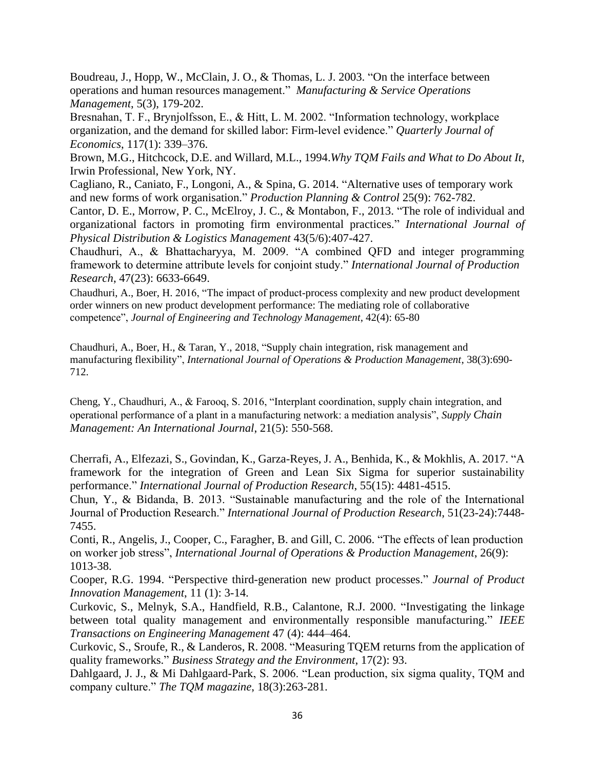Boudreau, J., Hopp, W., McClain, J. O., & Thomas, L. J. 2003. "On the interface between operations and human resources management." *Manufacturing & Service Operations Management*, 5(3), 179-202.

Bresnahan, T. F., Brynjolfsson, E., & Hitt, L. M. 2002. "Information technology, workplace organization, and the demand for skilled labor: Firm-level evidence." *Quarterly Journal of Economics*, 117(1): 339–376.

Brown, M.G., Hitchcock, D.E. and Willard, M.L., 1994.*Why TQM Fails and What to Do About It*, Irwin Professional, New York, NY.

Cagliano, R., Caniato, F., Longoni, A., & Spina, G. 2014. "Alternative uses of temporary work and new forms of work organisation." *Production Planning & Control* 25(9): 762-782.

Cantor, D. E., Morrow, P. C., McElroy, J. C., & Montabon, F., 2013. "The role of individual and organizational factors in promoting firm environmental practices." *International Journal of Physical Distribution & Logistics Management* 43(5/6):407-427.

Chaudhuri, A., & Bhattacharyya, M. 2009. "A combined QFD and integer programming framework to determine attribute levels for conjoint study." *International Journal of Production Research*, 47(23): 6633-6649.

Chaudhuri, A., Boer, H. 2016, "The impact of product-process complexity and new product development order winners on new product development performance: The mediating role of collaborative competence", *Journal of Engineering and Technology Management*, 42(4): 65-80

Chaudhuri, A., Boer, H., & Taran, Y., 2018, "Supply chain integration, risk management and manufacturing flexibility", *International Journal of Operations & Production Management*, 38(3):690- 712.

Cheng, Y., Chaudhuri, A., & Farooq, S. 2016, "Interplant coordination, supply chain integration, and operational performance of a plant in a manufacturing network: a mediation analysis", *Supply Chain Management: An International Journal*, 21(5): 550-568.

Cherrafi, A., Elfezazi, S., Govindan, K., Garza-Reyes, J. A., Benhida, K., & Mokhlis, A. 2017. "A framework for the integration of Green and Lean Six Sigma for superior sustainability performance." *International Journal of Production Research*, 55(15): 4481-4515.

Chun, Y., & Bidanda, B. 2013. "Sustainable manufacturing and the role of the International Journal of Production Research." *International Journal of Production Research*, 51(23-24):7448- 7455.

Conti, R., Angelis, J., Cooper, C., Faragher, B. and Gill, C. 2006. "The effects of lean production on worker job stress", *International Journal of Operations & Production Management*, 26(9): 1013-38.

Cooper, R.G. 1994. "Perspective third-generation new product processes." *Journal of Product Innovation Management*, 11 (1): 3-14.

Curkovic, S., Melnyk, S.A., Handfield, R.B., Calantone, R.J. 2000. "Investigating the linkage between total quality management and environmentally responsible manufacturing." *IEEE Transactions on Engineering Management* 47 (4): 444–464.

Curkovic, S., Sroufe, R., & Landeros, R. 2008. "Measuring TQEM returns from the application of quality frameworks." *Business Strategy and the Environment*, 17(2): 93.

Dahlgaard, J. J., & Mi Dahlgaard-Park, S. 2006. "Lean production, six sigma quality, TQM and company culture." *The TQM magazine*, 18(3):263-281.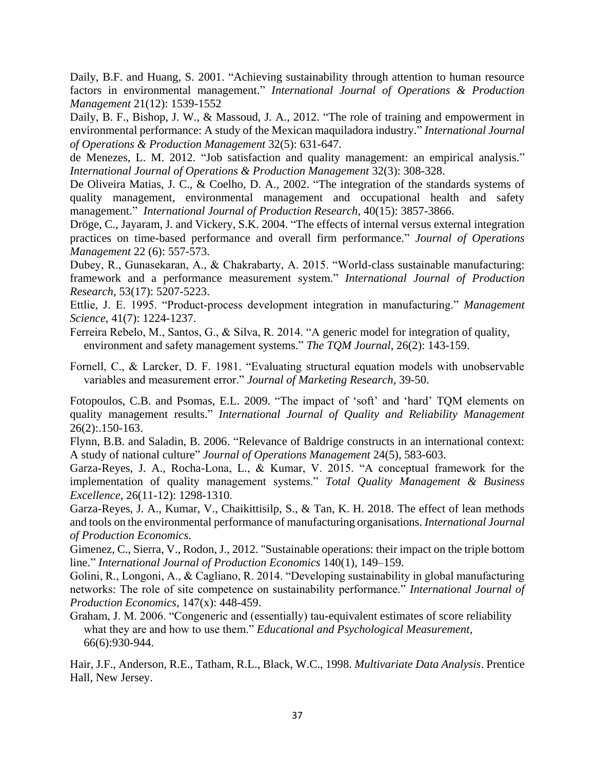Daily, B.F. and Huang, S. 2001. "Achieving sustainability through attention to human resource factors in environmental management." *International Journal of Operations & Production Management* 21(12): 1539-1552

Daily, B. F., Bishop, J. W., & Massoud, J. A., 2012. "The role of training and empowerment in environmental performance: A study of the Mexican maquiladora industry." *International Journal of Operations & Production Management* 32(5): 631-647.

de Menezes, L. M. 2012. "Job satisfaction and quality management: an empirical analysis." *International Journal of Operations & Production Management* 32(3): 308-328.

De Oliveira Matias, J. C., & Coelho, D. A., 2002. "The integration of the standards systems of quality management, environmental management and occupational health and safety management." *International Journal of Production Research*, 40(15): 3857-3866.

Dröge, C., Jayaram, J. and Vickery, S.K. 2004. "The effects of internal versus external integration practices on time-based performance and overall firm performance." *Journal of Operations Management* 22 (6): 557-573.

Dubey, R., Gunasekaran, A., & Chakrabarty, A. 2015. "World-class sustainable manufacturing: framework and a performance measurement system." *International Journal of Production Research,* 53(17): 5207-5223.

Ettlie, J. E. 1995. "Product-process development integration in manufacturing." *Management Science*, 41(7): 1224-1237.

Ferreira Rebelo, M., Santos, G., & Silva, R. 2014. "A generic model for integration of quality, environment and safety management systems." *The TQM Journal*, 26(2): 143-159.

Fornell, C., & Larcker, D. F. 1981. "Evaluating structural equation models with unobservable variables and measurement error." *Journal of Marketing Research*, 39-50.

Fotopoulos, C.B. and Psomas, E.L. 2009. "The impact of 'soft' and 'hard' TQM elements on quality management results." *International Journal of Quality and Reliability Management* 26(2):.150-163.

Flynn, B.B. and Saladin, B. 2006. "Relevance of Baldrige constructs in an international context: A study of national culture" *Journal of Operations Management* 24(5), 583-603.

Garza-Reyes, J. A., Rocha-Lona, L., & Kumar, V. 2015. "A conceptual framework for the implementation of quality management systems." *Total Quality Management & Business Excellence*, 26(11-12): 1298-1310.

Garza-Reyes, J. A., Kumar, V., Chaikittisilp, S., & Tan, K. H. 2018. The effect of lean methods and tools on the environmental performance of manufacturing organisations. *International Journal of Production Economics*.

Gimenez, C., Sierra, V., Rodon, J., 2012. "Sustainable operations: their impact on the triple bottom line." *International Journal of Production Economics* 140(1), 149–159.

Golini, R., Longoni, A., & Cagliano, R. 2014. "Developing sustainability in global manufacturing networks: The role of site competence on sustainability performance." *International Journal of Production Economics*, 147(x): 448-459.

Graham, J. M. 2006. "Congeneric and (essentially) tau-equivalent estimates of score reliability what they are and how to use them." *Educational and Psychological Measurement*, 66(6):930-944.

Hair, J.F., Anderson, R.E., Tatham, R.L., Black, W.C., 1998. *Multivariate Data Analysis*. Prentice Hall, New Jersey.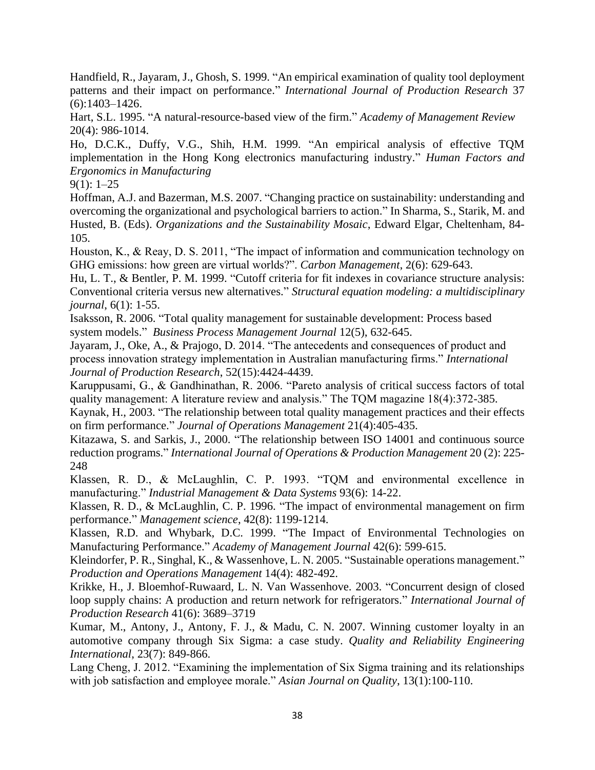Handfield, R., Jayaram, J., Ghosh, S. 1999. "An empirical examination of quality tool deployment patterns and their impact on performance." *International Journal of Production Research* 37 (6):1403–1426.

Hart, S.L. 1995. "A natural-resource-based view of the firm." *Academy of Management Review* 20(4): 986-1014.

Ho, D.C.K., Duffy, V.G., Shih, H.M. 1999. "An empirical analysis of effective TQM implementation in the Hong Kong electronics manufacturing industry." *Human Factors and Ergonomics in Manufacturing*

 $9(1): 1-25$ 

Hoffman, A.J. and Bazerman, M.S. 2007. "Changing practice on sustainability: understanding and overcoming the organizational and psychological barriers to action." In Sharma, S., Starik, M. and Husted, B. (Eds). *Organizations and the Sustainability Mosaic*, Edward Elgar, Cheltenham, 84- 105.

Houston, K., & Reay, D. S. 2011, "The impact of information and communication technology on GHG emissions: how green are virtual worlds?". *Carbon Management*, 2(6): 629-643.

Hu, L. T., & Bentler, P. M. 1999. "Cutoff criteria for fit indexes in covariance structure analysis: Conventional criteria versus new alternatives." *Structural equation modeling: a multidisciplinary journal*, 6(1): 1-55.

Isaksson, R. 2006. "Total quality management for sustainable development: Process based system models." *Business Process Management Journal* 12(5), 632-645.

Jayaram, J., Oke, A., & Prajogo, D. 2014. "The antecedents and consequences of product and process innovation strategy implementation in Australian manufacturing firms." *International Journal of Production Research*, 52(15):4424-4439.

Karuppusami, G., & Gandhinathan, R. 2006. "Pareto analysis of critical success factors of total quality management: A literature review and analysis." The TQM magazine 18(4):372-385.

Kaynak, H., 2003. "The relationship between total quality management practices and their effects on firm performance." *Journal of Operations Management* 21(4):405-435.

Kitazawa, S. and Sarkis, J., 2000. "The relationship between ISO 14001 and continuous source reduction programs." *International Journal of Operations & Production Management* 20 (2): 225- 248

Klassen, R. D., & McLaughlin, C. P. 1993. "TQM and environmental excellence in manufacturing." *Industrial Management & Data Systems* 93(6): 14-22.

Klassen, R. D., & McLaughlin, C. P. 1996. "The impact of environmental management on firm performance." *Management science*, 42(8): 1199-1214.

Klassen, R.D. and Whybark, D.C. 1999. "The Impact of Environmental Technologies on Manufacturing Performance." *Academy of Management Journal* 42(6): 599-615.

Kleindorfer, P. R., Singhal, K., & Wassenhove, L. N. 2005. "Sustainable operations management." *Production and Operations Management* 14(4): 482-492.

Krikke, H., J. Bloemhof-Ruwaard, L. N. Van Wassenhove. 2003. "Concurrent design of closed loop supply chains: A production and return network for refrigerators." *International Journal of Production Research* 41(6): 3689–3719

Kumar, M., Antony, J., Antony, F. J., & Madu, C. N. 2007. Winning customer loyalty in an automotive company through Six Sigma: a case study. *Quality and Reliability Engineering International*, 23(7): 849-866.

Lang Cheng, J. 2012. "Examining the implementation of Six Sigma training and its relationships with job satisfaction and employee morale." *Asian Journal on Quality*, 13(1):100-110.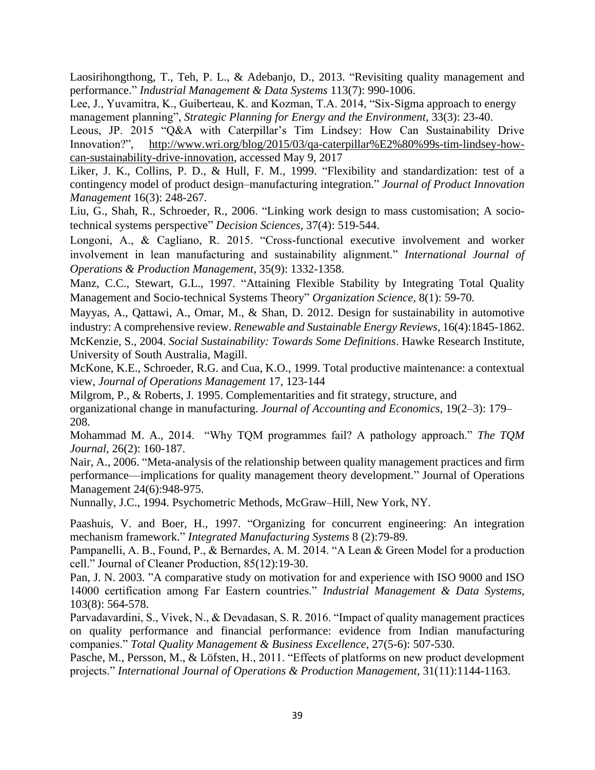Laosirihongthong, T., Teh, P. L., & Adebanjo, D., 2013. "Revisiting quality management and performance." *Industrial Management & Data Systems* 113(7): 990-1006.

Lee, J., Yuvamitra, K., Guiberteau, K. and Kozman, T.A. 2014, "Six-Sigma approach to energy management planning", *Strategic Planning for Energy and the Environment*, 33(3): 23-40.

Leous, JP. 2015 "Q&A with Caterpillar's Tim Lindsey: How Can Sustainability Drive Innovation?", [http://www.wri.org/blog/2015/03/qa-caterpillar%E2%80%99s-tim-lindsey-how](http://www.wri.org/blog/2015/03/qa-caterpillar%E2%80%99s-tim-lindsey-how-can-sustainability-drive-innovation)[can-sustainability-drive-innovation,](http://www.wri.org/blog/2015/03/qa-caterpillar%E2%80%99s-tim-lindsey-how-can-sustainability-drive-innovation) accessed May 9, 2017

Liker, J. K., Collins, P. D., & Hull, F. M., 1999. "Flexibility and standardization: test of a contingency model of product design–manufacturing integration." *Journal of Product Innovation Management* 16(3): 248-267.

Liu, G., Shah, R., Schroeder, R., 2006. "Linking work design to mass customisation; A sociotechnical systems perspective" *Decision Sciences*, 37(4): 519-544.

Longoni, A., & Cagliano, R. 2015. "Cross-functional executive involvement and worker involvement in lean manufacturing and sustainability alignment." *International Journal of Operations & Production Management*, 35(9): 1332-1358.

Manz, C.C., Stewart, G.L., 1997. "Attaining Flexible Stability by Integrating Total Quality Management and Socio-technical Systems Theory" *Organization Science,* 8(1): 59-70.

Mayyas, A., Qattawi, A., Omar, M., & Shan, D. 2012. Design for sustainability in automotive industry: A comprehensive review. *Renewable and Sustainable Energy Reviews*, 16(4):1845-1862.

McKenzie, S., 2004. *Social Sustainability: Towards Some Definitions*. Hawke Research Institute, University of South Australia, Magill.

McKone, K.E., Schroeder, R.G. and Cua, K.O., 1999. Total productive maintenance: a contextual view, *Journal of Operations Management* 17, 123-144

Milgrom, P., & Roberts, J. 1995. Complementarities and fit strategy, structure, and organizational change in manufacturing. *Journal of Accounting and Economics*, 19(2–3): 179– 208.

Mohammad M. A., 2014. "Why TQM programmes fail? A pathology approach." *The TQM Journal*, 26(2): 160-187.

Nair, A., 2006. "Meta-analysis of the relationship between quality management practices and firm performance—implications for quality management theory development." Journal of Operations Management 24(6):948-975.

Nunnally, J.C., 1994. Psychometric Methods, McGraw–Hill, New York, NY.

Paashuis, V. and Boer, H., 1997. "Organizing for concurrent engineering: An integration mechanism framework." *Integrated Manufacturing Systems* 8 (2):79-89.

Pampanelli, A. B., Found, P., & Bernardes, A. M. 2014. "A Lean & Green Model for a production cell." Journal of Cleaner Production, 85(12):19-30.

Pan, J. N. 2003. "A comparative study on motivation for and experience with ISO 9000 and ISO 14000 certification among Far Eastern countries." *Industrial Management & Data Systems*, 103(8): 564-578.

Parvadavardini, S., Vivek, N., & Devadasan, S. R. 2016. "Impact of quality management practices on quality performance and financial performance: evidence from Indian manufacturing companies." *Total Quality Management & Business Excellence*, 27(5-6): 507-530.

Pasche, M., Persson, M., & Löfsten, H., 2011. "Effects of platforms on new product development projects." *International Journal of Operations & Production Management*, 31(11):1144-1163.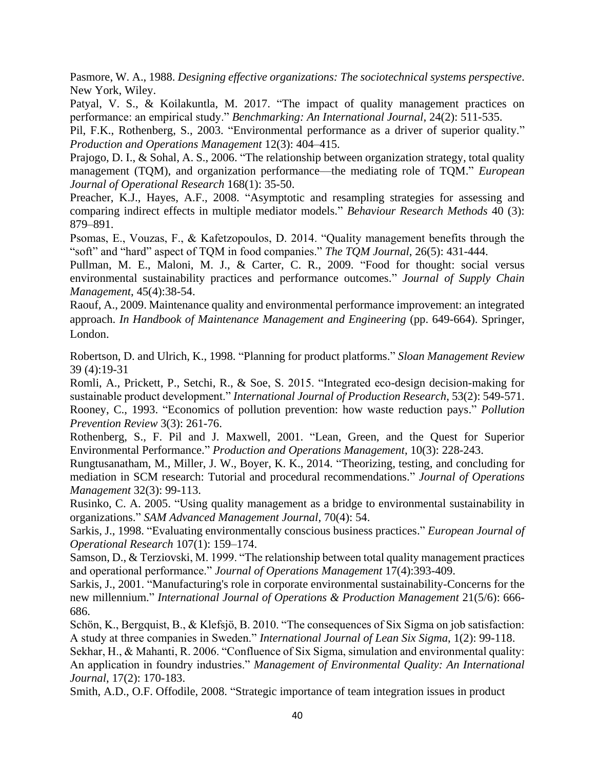Pasmore, W. A., 1988. *Designing effective organizations: The sociotechnical systems perspective*. New York, Wiley.

Patyal, V. S., & Koilakuntla, M. 2017. "The impact of quality management practices on performance: an empirical study." *Benchmarking: An International Journal*, 24(2): 511-535.

Pil, F.K., Rothenberg, S., 2003. "Environmental performance as a driver of superior quality." *Production and Operations Management* 12(3): 404–415.

Prajogo, D. I., & Sohal, A. S., 2006. "The relationship between organization strategy, total quality management (TQM), and organization performance––the mediating role of TQM." *European Journal of Operational Research* 168(1): 35-50.

Preacher, K.J., Hayes, A.F., 2008. "Asymptotic and resampling strategies for assessing and comparing indirect effects in multiple mediator models." *Behaviour Research Methods* 40 (3): 879–891.

Psomas, E., Vouzas, F., & Kafetzopoulos, D. 2014. "Quality management benefits through the "soft" and "hard" aspect of TQM in food companies." *The TQM Journal*, 26(5): 431-444.

Pullman, M. E., Maloni, M. J., & Carter, C. R., 2009. "Food for thought: social versus environmental sustainability practices and performance outcomes." *Journal of Supply Chain Management*, 45(4):38-54.

Raouf, A., 2009. Maintenance quality and environmental performance improvement: an integrated approach. *In Handbook of Maintenance Management and Engineering* (pp. 649-664). Springer, London.

Robertson, D. and Ulrich, K., 1998. "Planning for product platforms." *Sloan Management Review* 39 (4):19-31

Romli, A., Prickett, P., Setchi, R., & Soe, S. 2015. "Integrated eco-design decision-making for sustainable product development." *International Journal of Production Research*, 53(2): 549-571. Rooney, C., 1993. "Economics of pollution prevention: how waste reduction pays." *Pollution Prevention Review* 3(3): 261-76.

Rothenberg, S., F. Pil and J. Maxwell, 2001. "Lean, Green, and the Quest for Superior Environmental Performance." *Production and Operations Management*, 10(3): 228-243.

Rungtusanatham, M., Miller, J. W., Boyer, K. K., 2014. "Theorizing, testing, and concluding for mediation in SCM research: Tutorial and procedural recommendations." *Journal of Operations Management* 32(3): 99-113.

Rusinko, C. A. 2005. "Using quality management as a bridge to environmental sustainability in organizations." *SAM Advanced Management Journal*, 70(4): 54.

Sarkis, J., 1998. "Evaluating environmentally conscious business practices." *European Journal of Operational Research* 107(1): 159–174.

Samson, D., & Terziovski, M. 1999. "The relationship between total quality management practices and operational performance." *Journal of Operations Management* 17(4):393-409.

Sarkis, J., 2001. "Manufacturing's role in corporate environmental sustainability-Concerns for the new millennium." *International Journal of Operations & Production Management* 21(5/6): 666- 686.

Schön, K., Bergquist, B., & Klefsjö, B. 2010. "The consequences of Six Sigma on job satisfaction: A study at three companies in Sweden." *International Journal of Lean Six Sigma*, 1(2): 99-118.

Sekhar, H., & Mahanti, R. 2006. "Confluence of Six Sigma, simulation and environmental quality: An application in foundry industries." *Management of Environmental Quality: An International Journal*, 17(2): 170-183.

Smith, A.D., O.F. Offodile, 2008. "Strategic importance of team integration issues in product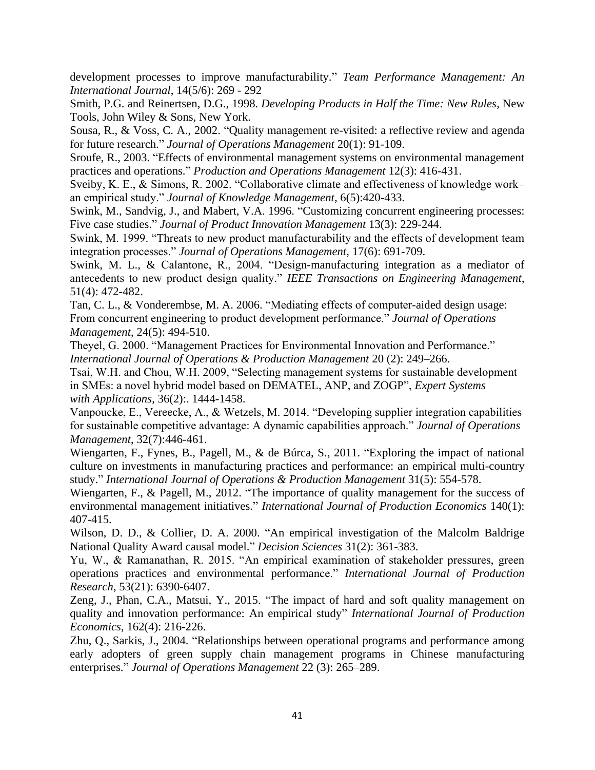development processes to improve manufacturability." *Team Performance Management: An International Journal*, 14(5/6): 269 - 292

Smith, P.G. and Reinertsen, D.G., 1998. *Developing Products in Half the Time: New Rules*, New Tools, John Wiley & Sons, New York.

Sousa, R., & Voss, C. A., 2002. "Quality management re-visited: a reflective review and agenda for future research." *Journal of Operations Management* 20(1): 91-109.

Sroufe, R., 2003. "Effects of environmental management systems on environmental management practices and operations." *Production and Operations Management* 12(3): 416-431.

Sveiby, K. E., & Simons, R. 2002. "Collaborative climate and effectiveness of knowledge work– an empirical study." *Journal of Knowledge Management*, 6(5):420-433.

Swink, M., Sandvig, J., and Mabert, V.A. 1996. "Customizing concurrent engineering processes: Five case studies." *Journal of Product Innovation Management* 13(3): 229-244.

Swink, M. 1999. "Threats to new product manufacturability and the effects of development team integration processes." *Journal of Operations Management*, 17(6): 691-709.

Swink, M. L., & Calantone, R., 2004. "Design-manufacturing integration as a mediator of antecedents to new product design quality." *IEEE Transactions on Engineering Management*, 51(4): 472-482.

Tan, C. L., & Vonderembse, M. A. 2006. "Mediating effects of computer-aided design usage: From concurrent engineering to product development performance." *Journal of Operations Management*, 24(5): 494-510.

Theyel, G. 2000. "Management Practices for Environmental Innovation and Performance." *International Journal of Operations & Production Management* 20 (2): 249–266.

Tsai, W.H. and Chou, W.H. 2009, "Selecting management systems for sustainable development in SMEs: a novel hybrid model based on DEMATEL, ANP, and ZOGP", *Expert Systems with Applications*, 36(2):. 1444-1458.

Vanpoucke, E., Vereecke, A., & Wetzels, M. 2014. "Developing supplier integration capabilities for sustainable competitive advantage: A dynamic capabilities approach." *Journal of Operations Management*, 32(7):446-461.

Wiengarten, F., Fynes, B., Pagell, M., & de Búrca, S., 2011. "Exploring the impact of national culture on investments in manufacturing practices and performance: an empirical multi-country study." *International Journal of Operations & Production Management* 31(5): 554-578.

Wiengarten, F., & Pagell, M., 2012. "The importance of quality management for the success of environmental management initiatives." *International Journal of Production Economics* 140(1): 407-415.

Wilson, D. D., & Collier, D. A. 2000. "An empirical investigation of the Malcolm Baldrige National Quality Award causal model." *Decision Sciences* 31(2): 361-383.

Yu, W., & Ramanathan, R. 2015. "An empirical examination of stakeholder pressures, green operations practices and environmental performance." *International Journal of Production Research*, 53(21): 6390-6407.

Zeng, J., Phan, C.A., Matsui, Y., 2015. "The impact of hard and soft quality management on quality and innovation performance: An empirical study" *International Journal of Production Economics*, 162(4): 216-226.

Zhu, Q., Sarkis, J., 2004. "Relationships between operational programs and performance among early adopters of green supply chain management programs in Chinese manufacturing enterprises." *Journal of Operations Management* 22 (3): 265–289.